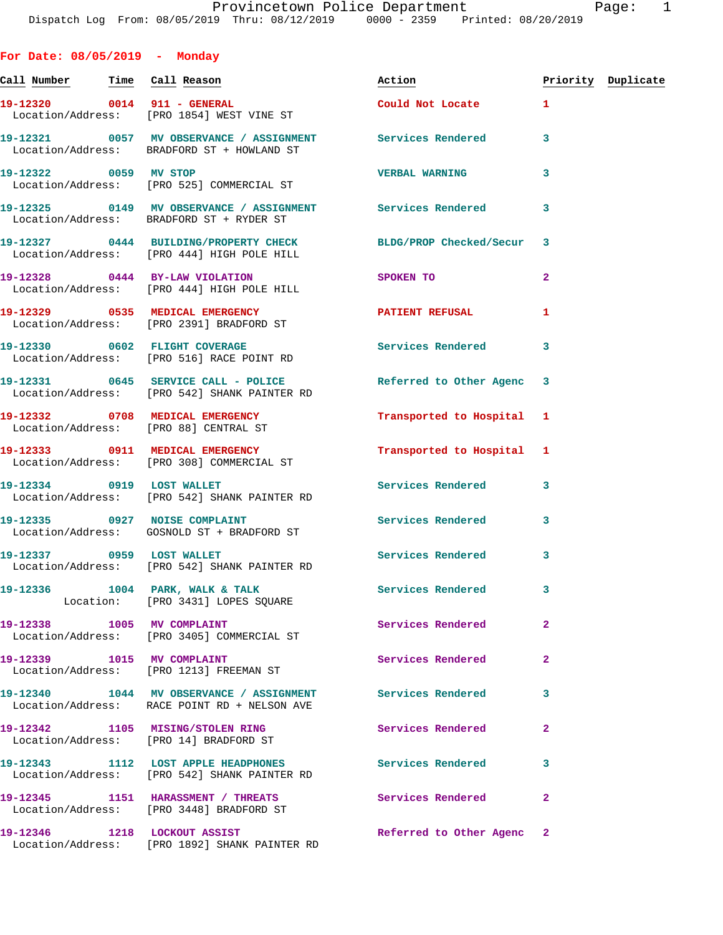Call Number Time Call Reason **Reason Action Action** Priority Duplicate **19-12320 0014 911 - GENERAL Could Not Locate 1**  Location/Address: [PRO 1854] WEST VINE ST **19-12321 0057 MV OBSERVANCE / ASSIGNMENT Services Rendered 3**  Location/Address: BRADFORD ST + HOWLAND ST **19-12322 0059 MV STOP VERBAL WARNING 3**  Location/Address: [PRO 525] COMMERCIAL ST **19-12325 0149 MV OBSERVANCE / ASSIGNMENT Services Rendered 3**  Location/Address: BRADFORD ST + RYDER ST **19-12327 0444 BUILDING/PROPERTY CHECK BLDG/PROP Checked/Secur 3**  Location/Address: [PRO 444] HIGH POLE HILL **19-12328 0444 BY-LAW VIOLATION SPOKEN TO 2**  Location/Address: [PRO 444] HIGH POLE HILL **19-12329 0535 MEDICAL EMERGENCY PATIENT REFUSAL 1**  Location/Address: [PRO 2391] BRADFORD ST **19-12330 0602 FLIGHT COVERAGE Services Rendered 3**  Location/Address: [PRO 516] RACE POINT RD 19-12331 0645 SERVICE CALL - POLICE Referred to Other Agenc 3 Location/Address: [PRO 542] SHANK PAINTER RD **19-12332 0708 MEDICAL EMERGENCY Transported to Hospital 1**  Location/Address: [PRO 88] CENTRAL ST **19-12333 0911 MEDICAL EMERGENCY Transported to Hospital 1**  Location/Address: [PRO 308] COMMERCIAL ST **19-12334 0919 LOST WALLET Services Rendered 3**  Location/Address: [PRO 542] SHANK PAINTER RD 19-12335 0927 NOISE COMPLAINT **Services Rendered** 3 Location/Address: GOSNOLD ST + BRADFORD ST 19-12337 0959 LOST WALLET Services Rendered 3 Location/Address: [PRO 542] SHANK PAINTER RD 19-12336 1004 PARK, WALK & TALK **Services Rendered** 3 Location: [PRO 3431] LOPES SQUARE 19-12338 1005 MV COMPLAINT **1005 Services Rendered** 2 Location/Address: [PRO 3405] COMMERCIAL ST 19-12339 1015 MV COMPLAINT **10.12339 10.12339** 2 Location/Address: [PRO 1213] FREEMAN ST **19-12340 1044 MV OBSERVANCE / ASSIGNMENT Services Rendered 3**  Location/Address: RACE POINT RD + NELSON AVE **19-12342 1105 MISING/STOLEN RING Services Rendered 2**  Location/Address: [PRO 14] BRADFORD ST **19-12343 1112 LOST APPLE HEADPHONES Services Rendered 3**  Location/Address: [PRO 542] SHANK PAINTER RD **19-12345 1151 HARASSMENT / THREATS Services Rendered 2**  Location/Address: [PRO 3448] BRADFORD ST

**19-12346 1218 LOCKOUT ASSIST Referred to Other Agenc 2**  Location/Address: [PRO 1892] SHANK PAINTER RD

**For Date: 08/05/2019 - Monday**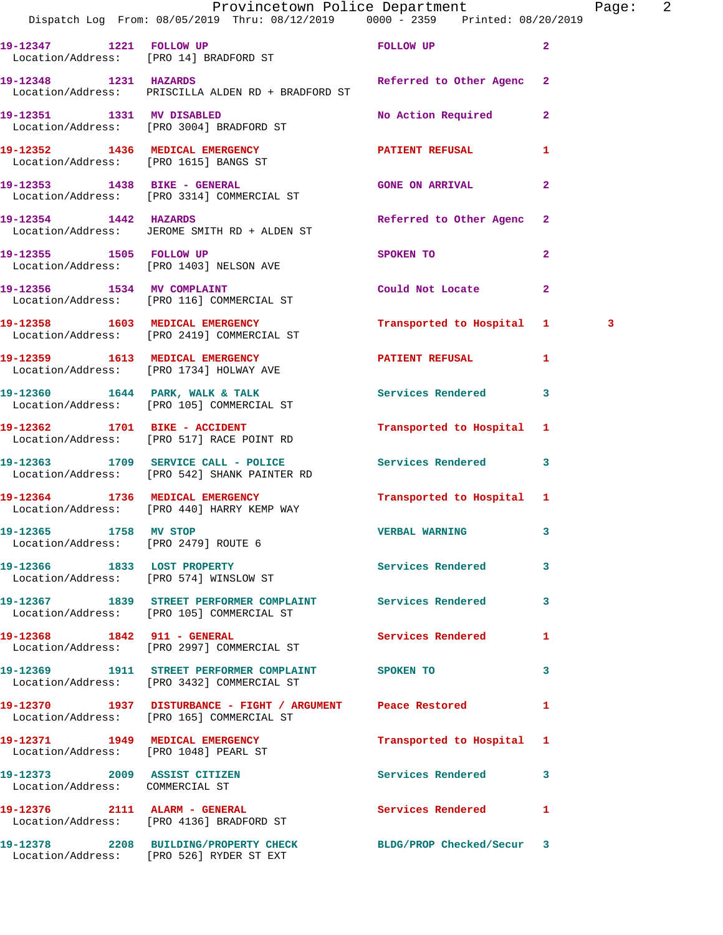|                                                                 | Provincetown Police Department<br>Dispatch Log From: 08/05/2019 Thru: 08/12/2019 0000 - 2359 Printed: 08/20/2019 |                           |                | Page: 2 |  |
|-----------------------------------------------------------------|------------------------------------------------------------------------------------------------------------------|---------------------------|----------------|---------|--|
|                                                                 | 19-12347 1221 FOLLOW UP<br>Location/Address: [PRO 14] BRADFORD ST                                                | FOLLOW UP                 | $\overline{2}$ |         |  |
| 19-12348 1231 HAZARDS                                           | Location/Address: PRISCILLA ALDEN RD + BRADFORD ST                                                               | Referred to Other Agenc 2 |                |         |  |
|                                                                 | 19-12351 1331 MV DISABLED<br>Location/Address: [PRO 3004] BRADFORD ST                                            | No Action Required 2      |                |         |  |
|                                                                 | 19-12352 1436 MEDICAL EMERGENCY<br>Location/Address: [PRO 1615] BANGS ST                                         | PATIENT REFUSAL           | $\mathbf{1}$   |         |  |
|                                                                 | 19-12353 1438 BIKE - GENERAL<br>Location/Address: [PRO 3314] COMMERCIAL ST                                       | <b>GONE ON ARRIVAL</b>    | $\mathbf{2}$   |         |  |
|                                                                 | 19-12354 1442 HAZARDS<br>Location/Address: JEROME SMITH RD + ALDEN ST                                            | Referred to Other Agenc 2 |                |         |  |
| 19-12355 1505 FOLLOW UP                                         | Location/Address: [PRO 1403] NELSON AVE                                                                          | SPOKEN TO                 | $\mathbf{2}$   |         |  |
|                                                                 | 19-12356 1534 MV COMPLAINT<br>Location/Address: [PRO 116] COMMERCIAL ST                                          | Could Not Locate 2        |                |         |  |
|                                                                 | 19-12358 1603 MEDICAL EMERGENCY<br>Location/Address: [PRO 2419] COMMERCIAL ST                                    | Transported to Hospital 1 |                | 3       |  |
|                                                                 | 19-12359 1613 MEDICAL EMERGENCY PATIENT REFUSAL<br>Location/Address: [PRO 1734] HOLWAY AVE                       |                           | 1              |         |  |
|                                                                 | 19-12360 1644 PARK, WALK & TALK 1992 Services Rendered 3<br>Location/Address: [PRO 105] COMMERCIAL ST            |                           |                |         |  |
|                                                                 | 19-12362 1701 BIKE - ACCIDENT<br>Location/Address: [PRO 517] RACE POINT RD                                       | Transported to Hospital 1 |                |         |  |
|                                                                 | 19-12363 1709 SERVICE CALL - POLICE 3 Services Rendered 3<br>Location/Address: [PRO 542] SHANK PAINTER RD        |                           |                |         |  |
|                                                                 | 19-12364 1736 MEDICAL EMERGENCY<br>Location/Address: [PRO 440] HARRY KEMP WAY                                    | Transported to Hospital 1 |                |         |  |
| 19-12365 1758 MV STOP<br>Location/Address: [PRO 2479] ROUTE 6   |                                                                                                                  | VERBAL WARNING 3          |                |         |  |
| Location/Address: [PRO 574] WINSLOW ST                          | 19-12366 1833 LOST PROPERTY                                                                                      | Services Rendered         | $\mathbf{3}$   |         |  |
|                                                                 | 19-12367 1839 STREET PERFORMER COMPLAINT Services Rendered 3<br>Location/Address: [PRO 105] COMMERCIAL ST        |                           |                |         |  |
|                                                                 | 19-12368 1842 911 - GENERAL<br>Location/Address: [PRO 2997] COMMERCIAL ST                                        | Services Rendered         | 1              |         |  |
|                                                                 | 19-12369 1911 STREET PERFORMER COMPLAINT SPOKEN TO<br>Location/Address: [PRO 3432] COMMERCIAL ST                 |                           | 3              |         |  |
|                                                                 | 19-12370 1937 DISTURBANCE - FIGHT / ARGUMENT Peace Restored<br>Location/Address: [PRO 165] COMMERCIAL ST         |                           | 1              |         |  |
|                                                                 | 19-12371 1949 MEDICAL EMERGENCY<br>Location/Address: [PRO 1048] PEARL ST                                         | Transported to Hospital 1 |                |         |  |
| 19-12373 2009 ASSIST CITIZEN<br>Location/Address: COMMERCIAL ST |                                                                                                                  | Services Rendered         | 3              |         |  |
|                                                                 | 19-12376 2111 ALARM - GENERAL<br>Location/Address: [PRO 4136] BRADFORD ST                                        | Services Rendered         | 1              |         |  |
|                                                                 | 19-12378 2208 BUILDING/PROPERTY CHECK<br>Location/Address: [PRO 526] RYDER ST EXT                                | BLDG/PROP Checked/Secur 3 |                |         |  |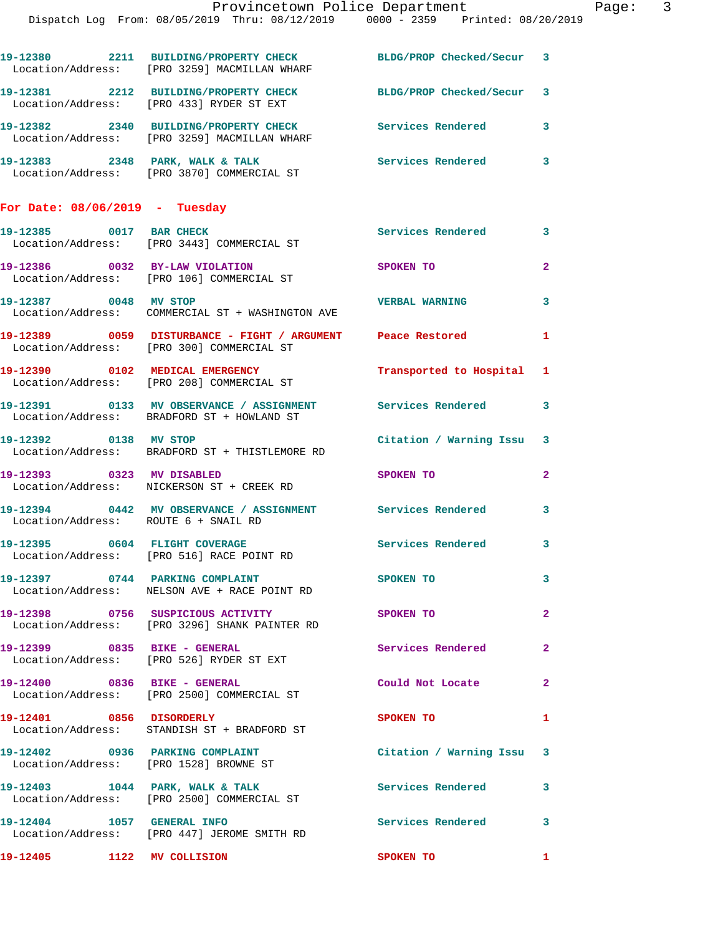|                                      | Provincetown Police Department<br>Dispatch Log From: 08/05/2019 Thru: 08/12/2019 0000 - 2359 Printed: 08/20/2019 |                           |                |
|--------------------------------------|------------------------------------------------------------------------------------------------------------------|---------------------------|----------------|
|                                      | 19-12380 2211 BUILDING/PROPERTY CHECK BLDG/PROP Checked/Secur 3<br>Location/Address: [PRO 3259] MACMILLAN WHARF  |                           |                |
|                                      | 19-12381 2212 BUILDING/PROPERTY CHECK BLDG/PROP Checked/Secur 3<br>Location/Address: [PRO 433] RYDER ST EXT      |                           |                |
|                                      | 19-12382 2340 BUILDING/PROPERTY CHECK<br>Location/Address: [PRO 3259] MACMILLAN WHARF                            | Services Rendered         | 3              |
|                                      |                                                                                                                  |                           | 3              |
| For Date: $08/06/2019$ - Tuesday     |                                                                                                                  |                           |                |
|                                      | 19-12385 0017 BAR CHECK<br>Location/Address: [PRO 3443] COMMERCIAL ST                                            | <b>Services Rendered</b>  | 3              |
|                                      | 19-12386 0032 BY-LAW VIOLATION<br>Location/Address: [PRO 106] COMMERCIAL ST                                      | SPOKEN TO                 | $\overline{2}$ |
| 19-12387 0048 MV STOP                | Location/Address: COMMERCIAL ST + WASHINGTON AVE                                                                 | <b>VERBAL WARNING</b>     | 3              |
|                                      | 19-12389 0059 DISTURBANCE - FIGHT / ARGUMENT Peace Restored<br>Location/Address: [PRO 300] COMMERCIAL ST         |                           | 1              |
|                                      | 19-12390 0102 MEDICAL EMERGENCY<br>Location/Address: [PRO 208] COMMERCIAL ST                                     | Transported to Hospital 1 |                |
|                                      | 19-12391 0133 MV OBSERVANCE / ASSIGNMENT Services Rendered 3<br>Location/Address: BRADFORD ST + HOWLAND ST       |                           |                |
|                                      | 19-12392 0138 MV STOP<br>Location/Address: BRADFORD ST + THISTLEMORE RD                                          | Citation / Warning Issu   | $\mathbf{3}$   |
| 19-12393 0323 MV DISABLED            | Location/Address: NICKERSON ST + CREEK RD                                                                        | SPOKEN TO                 | $\overline{2}$ |
| Location/Address: ROUTE 6 + SNAIL RD | 19-12394 0442 MV OBSERVANCE / ASSIGNMENT Services Rendered                                                       |                           | 3              |
|                                      | 19-12395 0604 FLIGHT COVERAGE<br>Location/Address: [PRO 516] RACE POINT RD                                       | <b>Services Rendered</b>  | 3              |
|                                      | 19-12397 0744 PARKING COMPLAINT<br>Location/Address: NELSON AVE + RACE POINT RD                                  | SPOKEN TO                 | 3              |
|                                      | 19-12398 0756 SUSPICIOUS ACTIVITY<br>Location/Address: [PRO 3296] SHANK PAINTER RD                               | SPOKEN TO                 | $\mathbf{2}$   |
| 19-12399 0835 BIKE - GENERAL         | Location/Address: [PRO 526] RYDER ST EXT                                                                         | Services Rendered         | $\mathbf{2}$   |
| 19-12400 0836 BIKE - GENERAL         | Location/Address: [PRO 2500] COMMERCIAL ST                                                                       | Could Not Locate          | $\overline{2}$ |
|                                      | 19-12401 0856 DISORDERLY<br>Location/Address: STANDISH ST + BRADFORD ST                                          | SPOKEN TO                 | 1              |
|                                      | 19-12402 0936 PARKING COMPLAINT<br>Location/Address: [PRO 1528] BROWNE ST                                        | Citation / Warning Issu 3 |                |
|                                      | 19-12403 1044 PARK, WALK & TALK<br>Location/Address: [PRO 2500] COMMERCIAL ST                                    | Services Rendered         | 3              |
| 19-12404 1057 GENERAL INFO           | Location/Address: [PRO 447] JEROME SMITH RD                                                                      | Services Rendered 3       |                |
| 19-12405 1122 MV COLLISION           |                                                                                                                  | SPOKEN TO                 | 1              |

Page: 3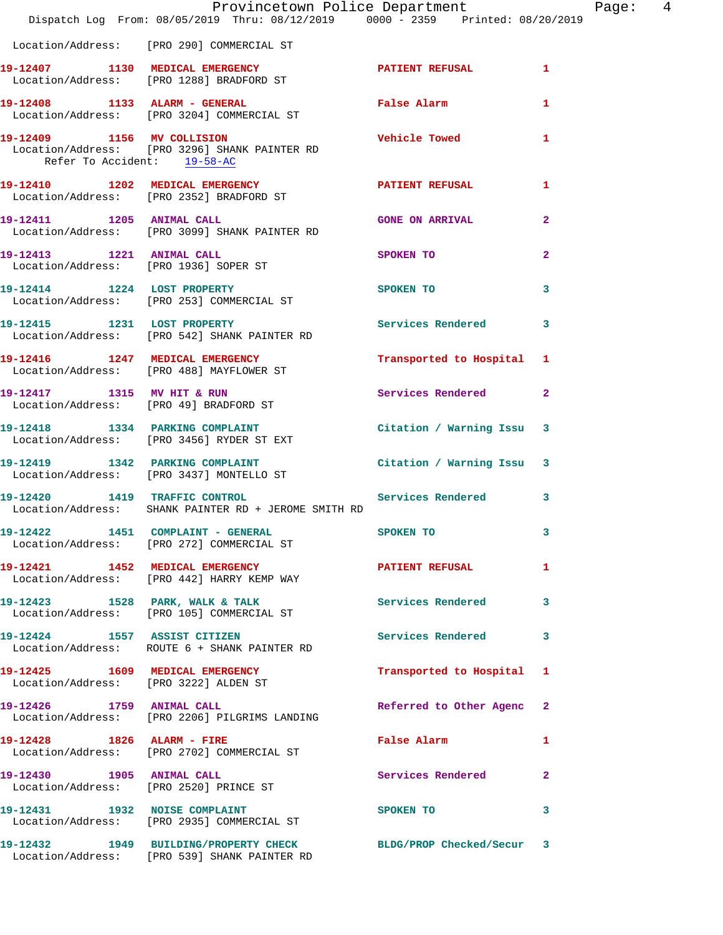|                             | Provincetown Police Department Page: 4<br>Dispatch Log From: 08/05/2019 Thru: 08/12/2019 0000 - 2359 Printed: 08/20/2019 |                           |                |
|-----------------------------|--------------------------------------------------------------------------------------------------------------------------|---------------------------|----------------|
|                             | Location/Address: [PRO 290] COMMERCIAL ST                                                                                |                           |                |
|                             | 19-12407 1130 MEDICAL EMERGENCY<br>  Location/Address: [PRO 1288] BRADFORD ST                                            | PATIENT REFUSAL 1         |                |
|                             | 19-12408 1133 ALARM - GENERAL TRISP False Alarm<br>Location/Address: [PRO 3204] COMMERCIAL ST                            |                           | 1              |
| Refer To Accident: 19-58-AC | 19-12409 1156 MV COLLISION<br>Location/Address: [PRO 3296] SHANK PAINTER RD                                              | Vehicle Towed 1           |                |
|                             | 19-12410 1202 MEDICAL EMERGENCY PATIENT REFUSAL<br>Location/Address: [PRO 2352] BRADFORD ST                              |                           | 1              |
|                             | 19-12411 1205 ANIMAL CALL<br>Location/Address: [PRO 3099] SHANK PAINTER RD                                               | <b>GONE ON ARRIVAL</b>    | $\overline{2}$ |
|                             | 19-12413 1221 ANIMAL CALL<br>Location/Address: [PRO 1936] SOPER ST                                                       | SPOKEN TO                 | $\mathbf{2}$   |
|                             | 19-12414 1224 LOST PROPERTY<br>Location/Address: [PRO 253] COMMERCIAL ST                                                 | SPOKEN TO                 | $\mathbf{3}$   |
|                             | 19-12415 1231 LOST PROPERTY<br>Location/Address: [PRO 542] SHANK PAINTER RD                                              | Services Rendered 3       |                |
|                             | 19-12416 1247 MEDICAL EMERGENCY<br>Location/Address: [PRO 488] MAYFLOWER ST                                              | Transported to Hospital 1 |                |
|                             | 19-12417 1315 MV HIT & RUN<br>Location/Address: [PRO 49] BRADFORD ST                                                     | Services Rendered 2       |                |
|                             | 19-12418 1334 PARKING COMPLAINT Canada Citation / Warning Issu 3<br>Location/Address: [PRO 3456] RYDER ST EXT            |                           |                |
|                             | 19-12419 1342 PARKING COMPLAINT Canada Citation / Warning Issu 3<br>Location/Address: [PRO 3437] MONTELLO ST             |                           |                |
|                             | 19-12420 1419 TRAFFIC CONTROL Services Rendered 3<br>Location/Address: SHANK PAINTER RD + JEROME SMITH RD                |                           |                |
|                             | 19-12422 1451 COMPLAINT - GENERAL<br>Location/Address: [PRO 272] COMMERCIAL ST                                           | SPOKEN TO                 |                |
|                             | 19-12421 1452 MEDICAL EMERGENCY PATIENT REFUSAL<br>Location/Address: [PRO 442] HARRY KEMP WAY                            |                           | 1              |
|                             | 19-12423 1528 PARK, WALK & TALK<br>Location/Address: [PRO 105] COMMERCIAL ST                                             | Services Rendered 3       |                |
|                             | 19-12424 1557 ASSIST CITIZEN<br>Location/Address: ROUTE 6 + SHANK PAINTER RD                                             | <b>Services Rendered</b>  | $\mathbf{3}$   |
|                             | 19-12425 1609 MEDICAL EMERGENCY<br>Location/Address: [PRO 3222] ALDEN ST                                                 | Transported to Hospital 1 |                |
|                             | 19-12426 1759 ANIMAL CALL<br>Location/Address: [PRO 2206] PILGRIMS LANDING                                               | Referred to Other Agenc 2 |                |
|                             | 19-12428 1826 ALARM - FIRE<br>Location/Address: [PRO 2702] COMMERCIAL ST                                                 | False Alarm               | $\mathbf{1}$   |
|                             | 19-12430   1905   ANIMAL CALL<br>Location/Address: [PRO 2520] PRINCE ST                                                  | Services Rendered 2       |                |
|                             | 19-12431 1932 NOISE COMPLAINT<br>Location/Address: [PRO 2935] COMMERCIAL ST                                              | SPOKEN TO                 | $\sim$ 3       |
|                             | 19-12432 1949 BUILDING/PROPERTY CHECK BLDG/PROP Checked/Secur 3<br>Location/Address: [PRO 539] SHANK PAINTER RD          |                           |                |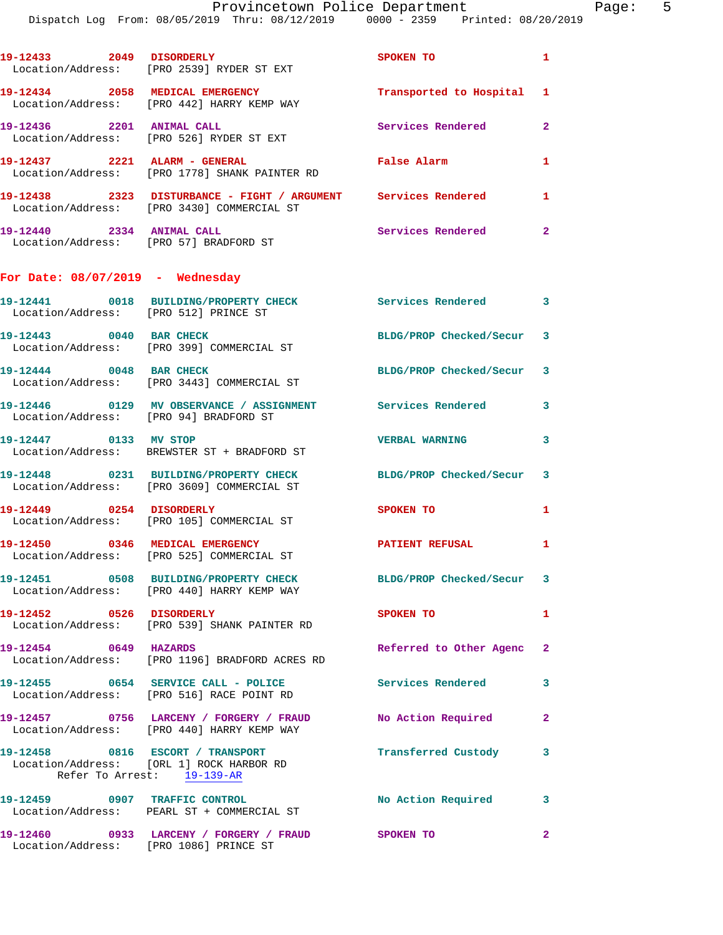|                                        | Dispatch Log From: 08/05/2019 Thru: 08/12/2019 0000 - 2359 Printed: 08/20/2019                               |                          |                |
|----------------------------------------|--------------------------------------------------------------------------------------------------------------|--------------------------|----------------|
| 19-12433 2049 DISORDERLY               | Location/Address: [PRO 2539] RYDER ST EXT                                                                    | <b>SPOKEN TO</b>         | 1              |
|                                        | 19-12434 2058 MEDICAL EMERGENCY<br>Location/Address: [PRO 442] HARRY KEMP WAY                                | Transported to Hospital  | 1              |
| 19-12436 2201 ANIMAL CALL              | Location/Address: [PRO 526] RYDER ST EXT                                                                     | <b>Services Rendered</b> | $\overline{2}$ |
|                                        | 19-12437  2221 ALARM - GENERAL<br>Location/Address: [PRO 1778] SHANK PAINTER RD                              | False Alarm              | 1              |
|                                        | 19-12438 2323 DISTURBANCE - FIGHT / ARGUMENT Services Rendered<br>Location/Address: [PRO 3430] COMMERCIAL ST |                          | 1              |
| 19-12440 2334 ANIMAL CALL              | Location/Address: [PRO 57] BRADFORD ST                                                                       | Services Rendered        | $\mathbf{2}$   |
| For Date: $08/07/2019$ - Wednesday     |                                                                                                              |                          |                |
| Location/Address: [PRO 512] PRINCE ST  | 19-12441 0018 BUILDING/PROPERTY CHECK Services Rendered                                                      |                          | 3              |
| 19-12443 0040 BAR CHECK                | Location/Address: [PRO 399] COMMERCIAL ST                                                                    | BLDG/PROP Checked/Secur  | 3              |
| 19-12444 0048 BAR CHECK                | Location/Address: [PRO 3443] COMMERCIAL ST                                                                   | BLDG/PROP Checked/Secur  | 3              |
| Location/Address: [PRO 94] BRADFORD ST |                                                                                                              |                          | 3              |
| 19-12447 0133 MV STOP                  | Location/Address: BREWSTER ST + BRADFORD ST                                                                  | <b>VERBAL WARNING</b>    | 3              |
|                                        | 19-12448 0231 BUILDING/PROPERTY CHECK<br>Location/Address: [PRO 3609] COMMERCIAL ST                          | BLDG/PROP Checked/Secur  | 3              |
| 19-12449 0254 DISORDERLY               | Location/Address: [PRO 105] COMMERCIAL ST                                                                    | SPOKEN TO                | 1              |
|                                        | Location/Address: [PRO 525] COMMERCIAL ST                                                                    | PATIENT REFUSAL          |                |
|                                        | 19-12451 0508 BUILDING/PROPERTY CHECK<br>Location/Address: [PRO 440] HARRY KEMP WAY                          | BLDG/PROP Checked/Secur  | 3              |
| 19-12452 0526 DISORDERLY               | Location/Address: [PRO 539] SHANK PAINTER RD                                                                 | SPOKEN TO                | 1              |
| 19-12454 0649 HAZARDS                  | Location/Address: [PRO 1196] BRADFORD ACRES RD                                                               | Referred to Other Agenc  | $\mathbf{2}$   |
|                                        | 19-12455 0654 SERVICE CALL - POLICE<br>Location/Address: [PRO 516] RACE POINT RD                             | <b>Services Rendered</b> | 3              |
|                                        | 19-12457 0756 LARCENY / FORGERY / FRAUD<br>Location/Address: [PRO 440] HARRY KEMP WAY                        | No Action Required       | $\mathbf{2}$   |
|                                        | 19-12458 0816 ESCORT / TRANSPORT<br>Location/Address: [ORL 1] ROCK HARBOR RD<br>Refer To Arrest: 19-139-AR   | Transferred Custody      | 3              |
|                                        |                                                                                                              | No Action Required       | 3              |

**19-12460 0933 LARCENY / FORGERY / FRAUD SPOKEN TO 2**  Location/Address: [PRO 1086] PRINCE ST

Location/Address: PEARL ST + COMMERCIAL ST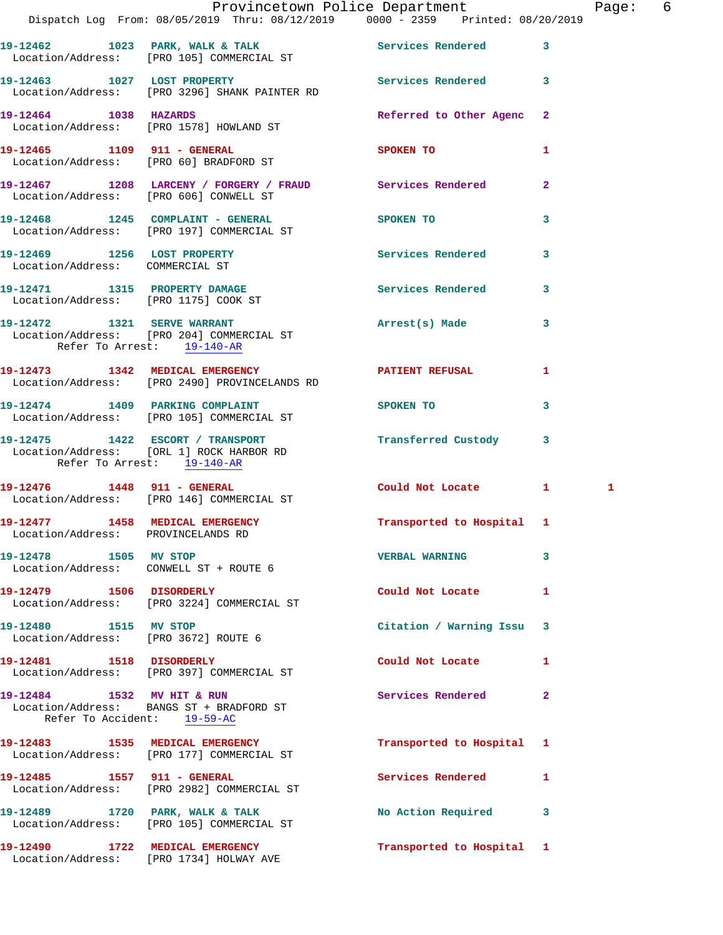|                                        | Dispatch Log From: 08/05/2019 Thru: 08/12/2019 0000 - 2359 Printed: 08/20/2019                   | Provincetown Police Department | Page: 6      |
|----------------------------------------|--------------------------------------------------------------------------------------------------|--------------------------------|--------------|
|                                        | 19-12462 1023 PARK, WALK & TALK Services Rendered 3<br>Location/Address: [PRO 105] COMMERCIAL ST |                                |              |
|                                        | 19-12463 1027 LOST PROPERTY<br>Location/Address: [PRO 3296] SHANK PAINTER RD                     | Services Rendered 3            |              |
|                                        | 19-12464 1038 HAZARDS<br>Location/Address: [PRO 1578] HOWLAND ST                                 | Referred to Other Agenc 2      |              |
|                                        | 19-12465 1109 911 - GENERAL<br>Location/Address: [PRO 60] BRADFORD ST                            | SPOKEN TO                      | 1            |
| Location/Address: [PRO 606] CONWELL ST | 19-12467 1208 LARCENY / FORGERY / FRAUD Services Rendered                                        |                                | $\mathbf{2}$ |
|                                        | 19-12468 1245 COMPLAINT - GENERAL SPOKEN TO<br>Location/Address: [PRO 197] COMMERCIAL ST         |                                | $\mathbf{3}$ |
| Location/Address: COMMERCIAL ST        | 19-12469 1256 LOST PROPERTY                                                                      | Services Rendered 3            |              |
| Location/Address: [PRO 1175] COOK ST   | 19-12471 1315 PROPERTY DAMAGE                                                                    | Services Rendered 3            |              |
| Refer To Arrest: 19-140-AR             | 19-12472 1321 SERVE WARRANT<br>Location/Address: [PRO 204] COMMERCIAL ST                         | Arrest(s) Made                 | 3            |
|                                        | 19-12473 1342 MEDICAL EMERGENCY<br>Location/Address: [PRO 2490] PROVINCELANDS RD                 | <b>PATIENT REFUSAL</b>         | 1            |
| 19-12474 1409 PARKING COMPLAINT        | Location/Address: [PRO 105] COMMERCIAL ST                                                        | SPOKEN TO                      | 3            |
| Refer To Arrest: 19-140-AR             | 19-12475 1422 ESCORT / TRANSPORT<br>Location/Address: [ORL 1] ROCK HARBOR RD                     | Transferred Custody 3          |              |
|                                        | 19-12476   1448   911 - GENERAL<br>Location/Address: [PRO 146] COMMERCIAL ST                     | Could Not Locate 1             | 1            |
| Location/Address: PROVINCELANDS RD     | 19-12477 1458 MEDICAL EMERGENCY Transported to Hospital 1                                        |                                |              |
| 19-12478 1505 MV STOP                  | Location/Address: CONWELL ST + ROUTE 6                                                           | <b>VERBAL WARNING</b>          | 3            |
| 19-12479   1506 DISORDERLY             | Location/Address: [PRO 3224] COMMERCIAL ST                                                       | Could Not Locate               | $\mathbf{1}$ |
| 19-12480 1515 MV STOP                  | Location/Address: [PRO 3672] ROUTE 6                                                             | Citation / Warning Issu 3      |              |
| 19-12481   1518   DISORDERLY           | Location/Address: [PRO 397] COMMERCIAL ST                                                        | Could Not Locate               | 1            |
| Refer To Accident: 19-59-AC            | 19-12484 1532 MV HIT & RUN<br>Location/Address: BANGS ST + BRADFORD ST                           | Services Rendered              | 2            |
|                                        | 19-12483 1535 MEDICAL EMERGENCY<br>Location/Address: [PRO 177] COMMERCIAL ST                     | Transported to Hospital 1      |              |
|                                        | 19-12485   1557   911 - GENERAL<br>Location/Address: [PRO 2982] COMMERCIAL ST                    | Services Rendered              | 1            |
|                                        | 19-12489 1720 PARK, WALK & TALK<br>Location/Address: [PRO 105] COMMERCIAL ST                     | No Action Required 3           |              |
|                                        | 19-12490 1722 MEDICAL EMERGENCY<br>Location/Address: [PRO 1734] HOLWAY AVE                       | Transported to Hospital 1      |              |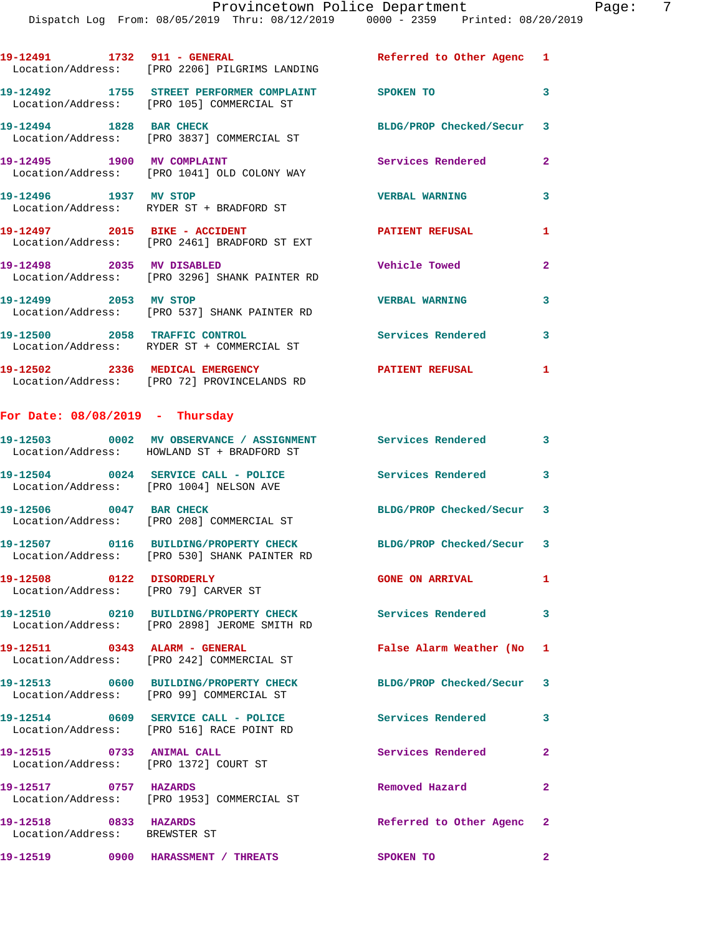|                                   | 19-12491 1732 911 - GENERAL<br>Location/Address: [PRO 2206] PILGRIMS LANDING                      | Referred to Other Agenc 1 |                |
|-----------------------------------|---------------------------------------------------------------------------------------------------|---------------------------|----------------|
|                                   | 19-12492 1755 STREET PERFORMER COMPLAINT SPOKEN TO<br>Location/Address: [PRO 105] COMMERCIAL ST   |                           | 3              |
|                                   | 19-12494 1828 BAR CHECK<br>Location/Address: [PRO 3837] COMMERCIAL ST                             | BLDG/PROP Checked/Secur 3 |                |
| 19-12495 1900 MV COMPLAINT        | Location/Address: [PRO 1041] OLD COLONY WAY                                                       | <b>Services Rendered</b>  | $\overline{2}$ |
| 19-12496 1937 MV STOP             | Location/Address: RYDER ST + BRADFORD ST                                                          | <b>VERBAL WARNING</b>     | $\mathbf{3}$   |
| 19-12497 2015 BIKE - ACCIDENT     | Location/Address: [PRO 2461] BRADFORD ST EXT                                                      | <b>PATIENT REFUSAL</b>    | $\mathbf{1}$   |
| 19-12498 2035 MV DISABLED         | Location/Address: [PRO 3296] SHANK PAINTER RD                                                     | <b>Vehicle Towed</b>      | $\overline{2}$ |
| 19-12499 2053 MV STOP             | Location/Address: [PRO 537] SHANK PAINTER RD                                                      | <b>VERBAL WARNING</b>     | 3              |
|                                   | 19-12500 2058 TRAFFIC CONTROL<br>Location/Address: RYDER ST + COMMERCIAL ST                       | <b>Services Rendered</b>  | 3              |
|                                   | 19-12502 2336 MEDICAL EMERGENCY<br>Location/Address: [PRO 72] PROVINCELANDS RD                    | <b>PATIENT REFUSAL</b>    | 1              |
| For Date: $08/08/2019$ - Thursday |                                                                                                   |                           |                |
|                                   | 19-12503                0002     MV OBSERVANCE  /  ASSIGNMENT                   Services Rendered |                           | 3              |

|                                                                    | Location/Address: HOWLAND ST + BRADFORD ST                                            |                           |                         |
|--------------------------------------------------------------------|---------------------------------------------------------------------------------------|---------------------------|-------------------------|
|                                                                    | 19-12504 0024 SERVICE CALL - POLICE<br>Location/Address: [PRO 1004] NELSON AVE        | Services Rendered 3       |                         |
| 19-12506 0047 BAR CHECK                                            | Location/Address: [PRO 208] COMMERCIAL ST                                             | BLDG/PROP Checked/Secur 3 |                         |
|                                                                    | Location/Address: [PRO 530] SHANK PAINTER RD                                          | BLDG/PROP Checked/Secur 3 |                         |
| 19-12508 0122 DISORDERLY<br>Location/Address: [PRO 79] CARVER ST   |                                                                                       | <b>GONE ON ARRIVAL</b>    | $\mathbf{1}$            |
|                                                                    | 19-12510 0210 BUILDING/PROPERTY CHECK<br>Location/Address: [PRO 2898] JEROME SMITH RD | <b>Services Rendered</b>  | $\overline{\mathbf{3}}$ |
|                                                                    | 19-12511 0343 ALARM - GENERAL<br>Location/Address: [PRO 242] COMMERCIAL ST            | False Alarm Weather (No 1 |                         |
|                                                                    | 19-12513 0600 BUILDING/PROPERTY CHECK<br>Location/Address: [PRO 99] COMMERCIAL ST     | BLDG/PROP Checked/Secur 3 |                         |
|                                                                    | 19-12514 0609 SERVICE CALL - POLICE<br>Location/Address: [PRO 516] RACE POINT RD      | Services Rendered         | 3                       |
| 19-12515 0733 ANIMAL CALL<br>Location/Address: [PRO 1372] COURT ST |                                                                                       | Services Rendered         | $\overline{2}$          |
| 19-12517 0757 HAZARDS                                              | Location/Address: [PRO 1953] COMMERCIAL ST                                            | Removed Hazard            | $\overline{2}$          |
| 19-12518 0833 HAZARDS<br>Location/Address: BREWSTER ST             |                                                                                       | Referred to Other Agenc 2 |                         |
|                                                                    | 19-12519 0900 HARASSMENT / THREATS SPOKEN TO                                          |                           | $\overline{2}$          |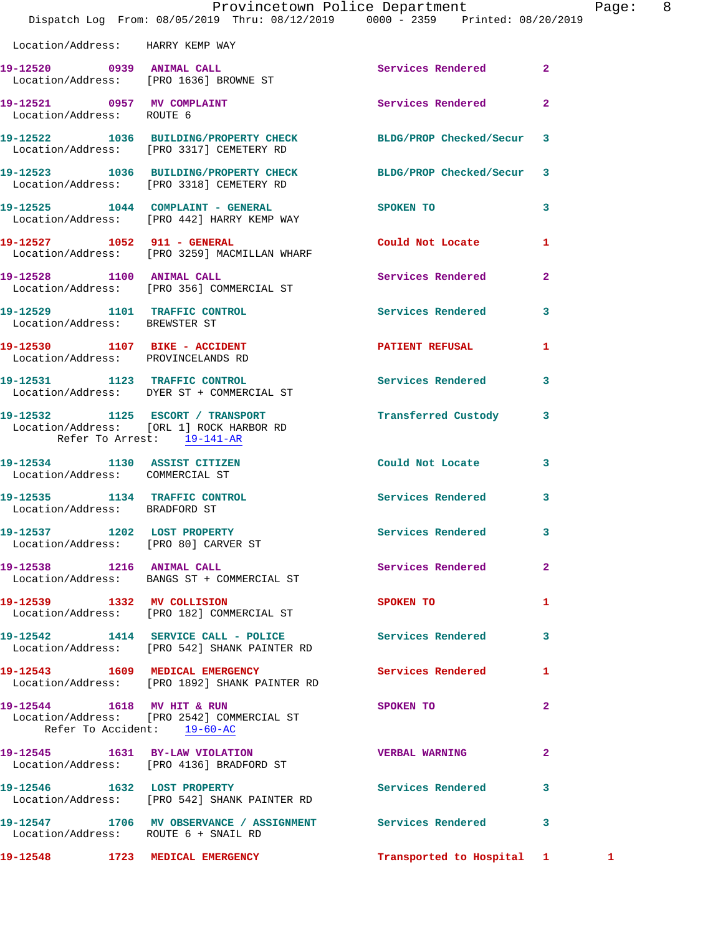|                                                                 | Provincetown Police Department The Page: 8<br>Dispatch Log From: 08/05/2019 Thru: 08/12/2019 0000 - 2359 Printed: 08/20/2019 |                                                                                                                |              |              |  |
|-----------------------------------------------------------------|------------------------------------------------------------------------------------------------------------------------------|----------------------------------------------------------------------------------------------------------------|--------------|--------------|--|
| Location/Address: HARRY KEMP WAY                                |                                                                                                                              |                                                                                                                |              |              |  |
|                                                                 | 19-12520 0939 ANIMAL CALL<br>Location/Address: [PRO 1636] BROWNE ST                                                          | Services Rendered 2                                                                                            |              |              |  |
| Location/Address: ROUTE 6                                       | 19-12521 0957 MV COMPLAINT                                                                                                   | <b>Services Rendered</b>                                                                                       | $\mathbf{2}$ |              |  |
|                                                                 | 19-12522 1036 BUILDING/PROPERTY CHECK BLDG/PROP Checked/Secur 3<br>Location/Address: [PRO 3317] CEMETERY RD                  |                                                                                                                |              |              |  |
|                                                                 | 19-12523 1036 BUILDING/PROPERTY CHECK BLDG/PROP Checked/Secur 3<br>Location/Address: [PRO 3318] CEMETERY RD                  |                                                                                                                |              |              |  |
|                                                                 | 19-12525 1044 COMPLAINT - GENERAL SPOKEN TO<br>Location/Address: [PRO 442] HARRY KEMP WAY                                    | $\sim$ 3                                                                                                       |              |              |  |
|                                                                 | 19-12527 1052 911 - GENERAL<br>Location/Address: [PRO 3259] MACMILLAN WHARF                                                  | Could Not Locate 1                                                                                             |              |              |  |
|                                                                 | 19-12528 1100 ANIMAL CALL<br>Location/Address: [PRO 356] COMMERCIAL ST                                                       | Services Rendered 2                                                                                            |              |              |  |
| Location/Address: BREWSTER ST                                   | 19-12529 1101 TRAFFIC CONTROL 5ervices Rendered 3                                                                            |                                                                                                                |              |              |  |
| Location/Address: PROVINCELANDS RD                              | 19-12530 1107 BIKE - ACCIDENT                                                                                                | PATIENT REFUSAL 1                                                                                              |              |              |  |
|                                                                 | 19-12531 1123 TRAFFIC CONTROL<br>Location/Address: DYER ST + COMMERCIAL ST                                                   | Services Rendered 3                                                                                            |              |              |  |
| Refer To Arrest: 19-141-AR                                      | 19-12532 1125 ESCORT / TRANSPORT<br>Location/Address: [ORL 1] ROCK HARBOR RD                                                 | Transferred Custody 3                                                                                          |              |              |  |
| 19-12534 1130 ASSIST CITIZEN<br>Location/Address: COMMERCIAL ST |                                                                                                                              | Could Not Locate 3                                                                                             |              |              |  |
| 19-12535 1134 TRAFFIC CONTROL<br>Location/Address: BRADFORD ST  |                                                                                                                              | Services Rendered 3                                                                                            |              |              |  |
|                                                                 | 19-12537 1202 LOST PROPERTY<br>Location/Address: [PRO 80] CARVER ST                                                          | Services Rendered                                                                                              | 3            |              |  |
| 19-12538 1216 ANIMAL CALL                                       | Location/Address: BANGS ST + COMMERCIAL ST                                                                                   | Services Rendered 2                                                                                            |              |              |  |
|                                                                 | 19-12539 1332 MV COLLISION<br>Location/Address: [PRO 182] COMMERCIAL ST                                                      | SPOKEN TO THE STATE OF THE STATE OF THE STATE OF THE STATE OF THE STATE OF THE STATE OF THE STATE OF THE STATE | 1            |              |  |
|                                                                 | 19-12542 1414 SERVICE CALL - POLICE Services Rendered 3<br>Location/Address: [PRO 542] SHANK PAINTER RD                      |                                                                                                                |              |              |  |
|                                                                 | 19-12543 1609 MEDICAL EMERGENCY<br>Location/Address: [PRO 1892] SHANK PAINTER RD                                             | Services Rendered 1                                                                                            |              |              |  |
| 19-12544 1618 MV HIT & RUN<br>Refer To Accident: 19-60-AC       | Location/Address: [PRO 2542] COMMERCIAL ST                                                                                   | SPOKEN TO                                                                                                      | $\mathbf{2}$ |              |  |
|                                                                 | 19-12545 1631 BY-LAW VIOLATION<br>Location/Address: [PRO 4136] BRADFORD ST                                                   | <b>VERBAL WARNING 2</b>                                                                                        |              |              |  |
|                                                                 | 19-12546 1632 LOST PROPERTY<br>Location/Address: [PRO 542] SHANK PAINTER RD                                                  | Services Rendered 3                                                                                            |              |              |  |
| Location/Address: ROUTE 6 + SNAIL RD                            | 19-12547 1706 MV OBSERVANCE / ASSIGNMENT Services Rendered 3                                                                 |                                                                                                                |              |              |  |
|                                                                 | 19-12548 1723 MEDICAL EMERGENCY                                                                                              | Transported to Hospital 1                                                                                      |              | $\mathbf{1}$ |  |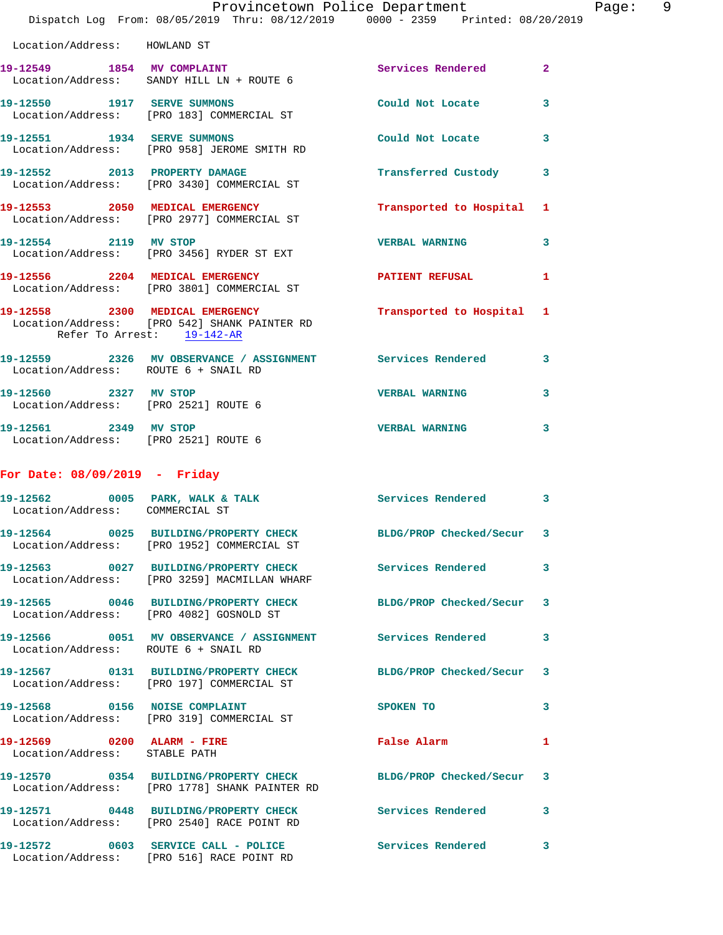|                                                             | Provincetown Police Department<br>Dispatch Log From: 08/05/2019 Thru: 08/12/2019   0000 - 2359   Printed: 08/20/2019 |                              |                         | Page: 9 |  |
|-------------------------------------------------------------|----------------------------------------------------------------------------------------------------------------------|------------------------------|-------------------------|---------|--|
| Location/Address: HOWLAND ST                                |                                                                                                                      |                              |                         |         |  |
|                                                             | 19-12549 1854 MV COMPLAINT<br>Location/Address: SANDY HILL LN + ROUTE 6                                              | Services Rendered 2          |                         |         |  |
|                                                             | 19-12550 1917 SERVE SUMMONS<br>Location/Address: [PRO 183] COMMERCIAL ST                                             | Could Not Locate 3           |                         |         |  |
|                                                             | 19-12551 1934 SERVE SUMMONS<br>Location/Address: [PRO 958] JEROME SMITH RD                                           | Could Not Locate 3           |                         |         |  |
|                                                             | 19-12552 2013 PROPERTY DAMAGE<br>Location/Address: [PRO 3430] COMMERCIAL ST                                          | Transferred Custody 3        |                         |         |  |
|                                                             | 19-12553 2050 MEDICAL EMERGENCY<br>Location/Address: [PRO 2977] COMMERCIAL ST                                        | Transported to Hospital 1    |                         |         |  |
|                                                             | 19-12554 2119 MV STOP<br>Location/Address: [PRO 3456] RYDER ST EXT                                                   | <b>VERBAL WARNING</b>        | $\overline{\mathbf{3}}$ |         |  |
|                                                             | 19-12556 2204 MEDICAL EMERGENCY<br>Location/Address: [PRO 3801] COMMERCIAL ST                                        | PATIENT REFUSAL              | 1                       |         |  |
| Refer To Arrest: 19-142-AR                                  | 19-12558 2300 MEDICAL EMERGENCY<br>Location/Address: [PRO 542] SHANK PAINTER RD                                      | Transported to Hospital 1    |                         |         |  |
| Location/Address: ROUTE 6 + SNAIL RD                        | 19-12559 2326 MV OBSERVANCE / ASSIGNMENT Services Rendered 3                                                         |                              |                         |         |  |
| 19-12560 2327 MV STOP                                       | Location/Address: [PRO 2521] ROUTE 6                                                                                 | VERBAL WARNING 3             |                         |         |  |
| Location/Address: [PRO 2521] ROUTE 6                        | 19-12561 2349 MV STOP                                                                                                | VERBAL WARNING 3             |                         |         |  |
| For Date: $08/09/2019$ - Friday                             |                                                                                                                      |                              |                         |         |  |
| Location/Address: COMMERCIAL ST                             | 19-12562 0005 PARK, WALK & TALK 6 Services Rendered 3                                                                |                              |                         |         |  |
|                                                             | 19-12564 0025 BUILDING/PROPERTY CHECK BLDG/PROP Checked/Secur 3<br>Location/Address: [PRO 1952] COMMERCIAL ST        |                              |                         |         |  |
|                                                             | 19-12563 0027 BUILDING/PROPERTY CHECK Services Rendered 3<br>Location/Address: [PRO 3259] MACMILLAN WHARF            |                              |                         |         |  |
|                                                             | 19-12565 0046 BUILDING/PROPERTY CHECK BLDG/PROP Checked/Secur 3<br>Location/Address: [PRO 4082] GOSNOLD ST           |                              |                         |         |  |
|                                                             | 19-12566 0051 MV OBSERVANCE / ASSIGNMENT Services Rendered 3<br>Location/Address: ROUTE 6 + SNAIL RD                 |                              |                         |         |  |
|                                                             | 19-12567 0131 BUILDING/PROPERTY CHECK BLDG/PROP Checked/Secur 3<br>Location/Address: [PRO 197] COMMERCIAL ST         |                              |                         |         |  |
|                                                             | 19-12568 0156 NOISE COMPLAINT<br>Location/Address: [PRO 319] COMMERCIAL ST                                           | SPOKEN TO                    | $\mathbf{3}$            |         |  |
| 19-12569 0200 ALARM - FIRE<br>Location/Address: STABLE PATH |                                                                                                                      | <b>Example 2</b> False Alarm | $\mathbf{1}$            |         |  |
|                                                             | 19-12570 0354 BUILDING/PROPERTY CHECK BLDG/PROP Checked/Secur 3<br>Location/Address: [PRO 1778] SHANK PAINTER RD     |                              |                         |         |  |
|                                                             | 19-12571 0448 BUILDING/PROPERTY CHECK Services Rendered 3<br>Location/Address: [PRO 2540] RACE POINT RD              |                              |                         |         |  |
|                                                             | 19-12572 0603 SERVICE CALL - POLICE Services Rendered 3<br>Location/Address: [PRO 516] RACE POINT RD                 |                              |                         |         |  |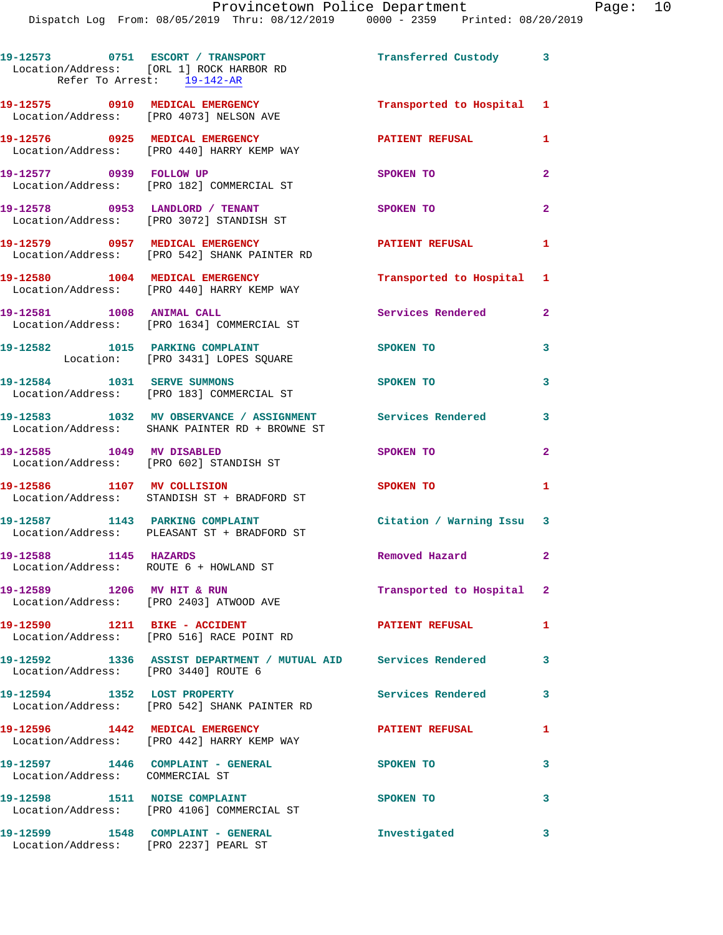**19-12573 0751 ESCORT / TRANSPORT Transferred Custody 3**  Location/Address: [ORL 1] ROCK HARBOR RD Refer To Arrest: 19-142-AR **19-12575 0910 MEDICAL EMERGENCY Transported to Hospital 1**  Location/Address: [PRO 4073] NELSON AVE **19-12576 0925 MEDICAL EMERGENCY PATIENT REFUSAL 1**  Location/Address: [PRO 440] HARRY KEMP WAY **19-12577 0939 FOLLOW UP SPOKEN TO 2**  Location/Address: [PRO 182] COMMERCIAL ST **19-12578 0953 LANDLORD / TENANT SPOKEN TO 2**  Location/Address: [PRO 3072] STANDISH ST **19-12579 0957 MEDICAL EMERGENCY PATIENT REFUSAL 1**  Location/Address: [PRO 542] SHANK PAINTER RD **19-12580 1004 MEDICAL EMERGENCY Transported to Hospital 1**  Location/Address: [PRO 440] HARRY KEMP WAY **19-12581 1008 ANIMAL CALL Services Rendered 2**  Location/Address: [PRO 1634] COMMERCIAL ST **19-12582 1015 PARKING COMPLAINT SPOKEN TO 3**  Location: [PRO 3431] LOPES SQUARE **19-12584 1031 SERVE SUMMONS SPOKEN TO 3**  Location/Address: [PRO 183] COMMERCIAL ST **19-12583 1032 MV OBSERVANCE / ASSIGNMENT Services Rendered 3**  Location/Address: SHANK PAINTER RD + BROWNE ST **19-12585 1049 MV DISABLED SPOKEN TO 2**  Location/Address: [PRO 602] STANDISH ST **19-12586 1107 MV COLLISION SPOKEN TO 1**  Location/Address: STANDISH ST + BRADFORD ST **19-12587 1143 PARKING COMPLAINT Citation / Warning Issu 3**  Location/Address: PLEASANT ST + BRADFORD ST **19-12588 1145 HAZARDS Removed Hazard 2**  Location/Address: ROUTE 6 + HOWLAND ST **19-12589 1206 MV HIT & RUN Transported to Hospital 2**  Location/Address: [PRO 2403] ATWOOD AVE **19-12590 1211 BIKE - ACCIDENT PATIENT REFUSAL 1**  Location/Address: [PRO 516] RACE POINT RD **19-12592 1336 ASSIST DEPARTMENT / MUTUAL AID Services Rendered 3**  Location/Address: [PRO 3440] ROUTE 6 **19-12594 1352 LOST PROPERTY Services Rendered 3**  Location/Address: [PRO 542] SHANK PAINTER RD **19-12596 1442 MEDICAL EMERGENCY PATIENT REFUSAL 1**  Location/Address: [PRO 442] HARRY KEMP WAY **19-12597 1446 COMPLAINT - GENERAL SPOKEN TO 3**  Location/Address: COMMERCIAL ST **19-12598 1511 NOISE COMPLAINT 5 8POKEN TO** 3 Location/Address: [PRO 4106] COMMERCIAL ST **19-12599 1548 COMPLAINT - GENERAL Investigated 3**  Location/Address: [PRO 2237] PEARL ST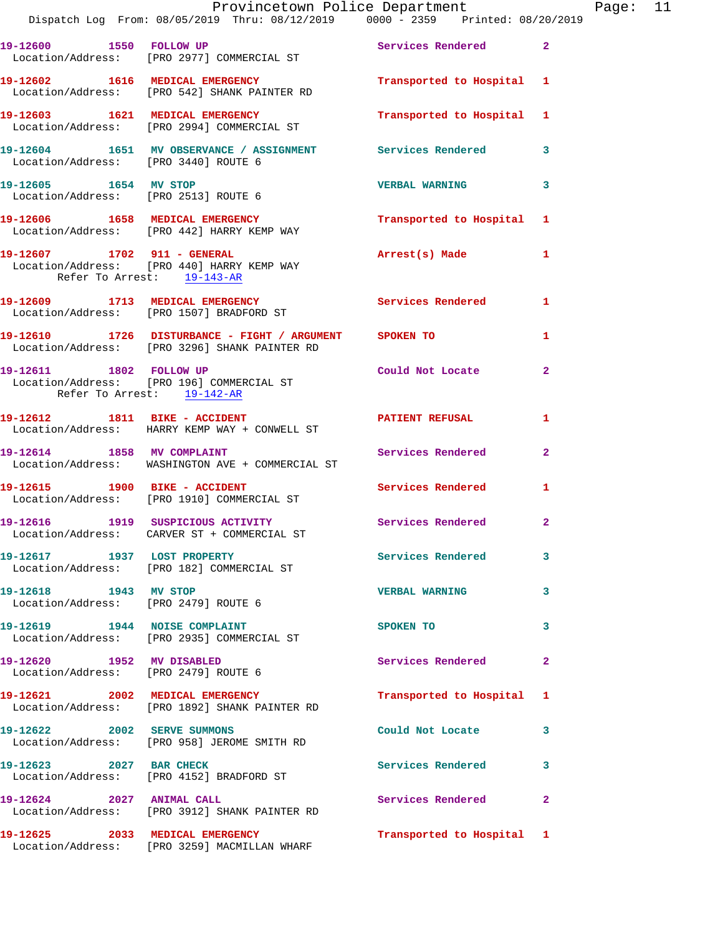|                                      | Dispatch Log From: 08/05/2019 Thru: 08/12/2019 0000 - 2359 Printed: 08/20/2019                            | Provincetown Police Department |                         | Page: 11 |  |
|--------------------------------------|-----------------------------------------------------------------------------------------------------------|--------------------------------|-------------------------|----------|--|
|                                      | 19-12600 1550 FOLLOW UP<br>Location/Address: [PRO 2977] COMMERCIAL ST                                     | Services Rendered 2            |                         |          |  |
|                                      | 19-12602 1616 MEDICAL EMERGENCY<br>Location/Address: [PRO 542] SHANK PAINTER RD                           | Transported to Hospital 1      |                         |          |  |
|                                      | 19-12603 1621 MEDICAL EMERGENCY<br>Location/Address: [PRO 2994] COMMERCIAL ST                             | Transported to Hospital 1      |                         |          |  |
| Location/Address: [PRO 3440] ROUTE 6 | 19-12604 1651 MV OBSERVANCE / ASSIGNMENT Services Rendered 3                                              |                                |                         |          |  |
| 19-12605 1654 MV STOP                | Location/Address: [PRO 2513] ROUTE 6                                                                      | <b>VERBAL WARNING</b>          | $\overline{\mathbf{3}}$ |          |  |
|                                      | 19-12606 1658 MEDICAL EMERGENCY<br>Location/Address: [PRO 442] HARRY KEMP WAY                             | Transported to Hospital 1      |                         |          |  |
| Refer To Arrest: 19-143-AR           | 19-12607 1702 911 - GENERAL<br>Location/Address: [PRO 440] HARRY KEMP WAY                                 | Arrest(s) Made 1               |                         |          |  |
|                                      | 19-12609 1713 MEDICAL EMERGENCY Services Rendered<br>Location/Address: [PRO 1507] BRADFORD ST             |                                | $\mathbf{1}$            |          |  |
|                                      | 19-12610 1726 DISTURBANCE - FIGHT / ARGUMENT SPOKEN TO<br>Location/Address: [PRO 3296] SHANK PAINTER RD   |                                | 1                       |          |  |
| Refer To Arrest: 19-142-AR           | 19-12611 1802 FOLLOW UP<br>Location/Address: [PRO 196] COMMERCIAL ST                                      | Could Not Locate               | -2                      |          |  |
|                                      | 19-12612 1811 BIKE - ACCIDENT<br>Location/Address: HARRY KEMP WAY + CONWELL ST                            | <b>PATIENT REFUSAL</b>         | 1                       |          |  |
|                                      | 19-12614 1858 MV COMPLAINT<br>Location/Address: WASHINGTON AVE + COMMERCIAL ST                            | <b>Services Rendered</b>       | $\mathbf{2}$            |          |  |
|                                      | 19-12615 1900 BIKE - ACCIDENT Services Rendered<br>Location/Address: [PRO 1910] COMMERCIAL ST             |                                | 1                       |          |  |
|                                      | 19-12616 1919 SUSPICIOUS ACTIVITY 1990 Services Rendered 2<br>Location/Address: CARVER ST + COMMERCIAL ST |                                |                         |          |  |
| 19-12617 1937 LOST PROPERTY          | Location/Address: [PRO 182] COMMERCIAL ST                                                                 | Services Rendered 3            |                         |          |  |
|                                      | 19-12618 1943 MV STOP<br>Location/Address: [PRO 2479] ROUTE 6                                             | <b>VERBAL WARNING</b>          | 3                       |          |  |
|                                      | 19-12619 1944 NOISE COMPLAINT<br>Location/Address: [PRO 2935] COMMERCIAL ST                               | SPOKEN TO                      | 3                       |          |  |
| Location/Address: [PRO 2479] ROUTE 6 | 19-12620 1952 MV DISABLED                                                                                 | Services Rendered              | 2                       |          |  |
|                                      | 19-12621 2002 MEDICAL EMERGENCY<br>Location/Address: [PRO 1892] SHANK PAINTER RD                          | Transported to Hospital 1      |                         |          |  |
|                                      | 19-12622 2002 SERVE SUMMONS<br>Location/Address: [PRO 958] JEROME SMITH RD                                | Could Not Locate 3             |                         |          |  |
| 19-12623 2027 BAR CHECK              | Location/Address: [PRO 4152] BRADFORD ST                                                                  | Services Rendered              | 3                       |          |  |
| 19-12624 2027 ANIMAL CALL            | Location/Address: [PRO 3912] SHANK PAINTER RD                                                             | Services Rendered              | $\mathbf{2}$            |          |  |
|                                      | 19-12625 2033 MEDICAL EMERGENCY<br>Location/Address: [PRO 3259] MACMILLAN WHARF                           | Transported to Hospital 1      |                         |          |  |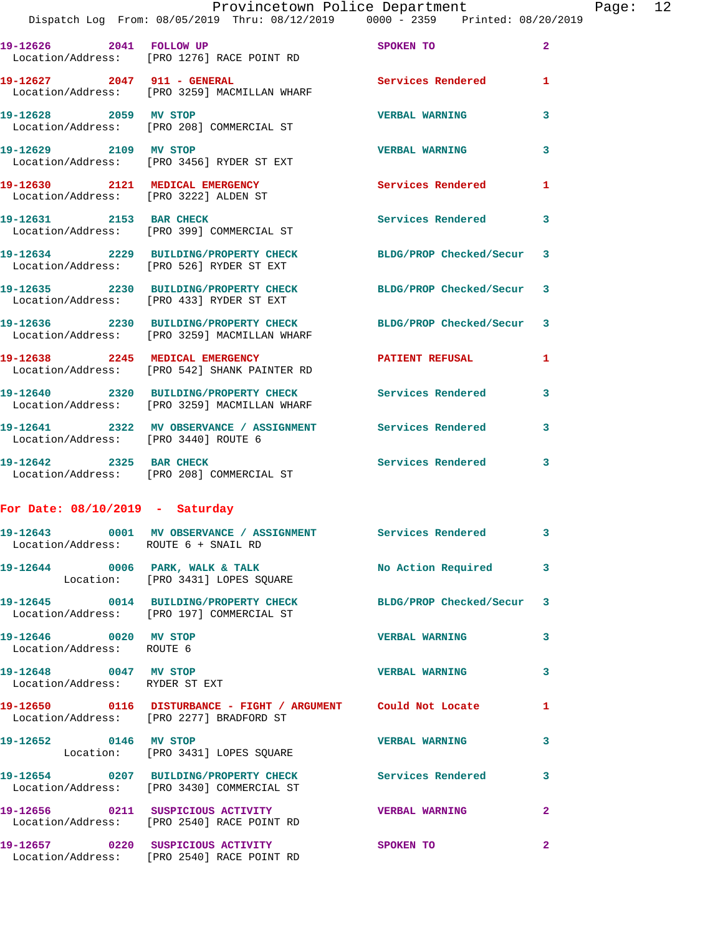|                                                         | Provincetown Police Department<br>Dispatch Log From: 08/05/2019 Thru: 08/12/2019 0000 - 2359 Printed: 08/20/2019 |                         |                | Page: 12 |  |
|---------------------------------------------------------|------------------------------------------------------------------------------------------------------------------|-------------------------|----------------|----------|--|
|                                                         | 19-12626 2041 FOLLOW UP<br>Location/Address: [PRO 1276] RACE POINT RD                                            | SPOKEN TO               | $\overline{2}$ |          |  |
|                                                         | 19-12627 2047 911 - GENERAL Services Rendered 1<br>Location/Address: [PRO 3259] MACMILLAN WHARF                  |                         |                |          |  |
|                                                         | 19-12628 2059 MV STOP<br>Location/Address: [PRO 208] COMMERCIAL ST                                               | <b>VERBAL WARNING</b>   | 3              |          |  |
|                                                         | 19-12629 2109 MV STOP<br>Location/Address: [PRO 3456] RYDER ST EXT                                               | <b>VERBAL WARNING</b>   | 3              |          |  |
|                                                         | 19-12630 2121 MEDICAL EMERGENCY<br>Location/Address: [PRO 3222] ALDEN ST                                         | Services Rendered 1     |                |          |  |
|                                                         | 19-12631 2153 BAR CHECK<br>Location/Address: [PRO 399] COMMERCIAL ST                                             | Services Rendered 3     |                |          |  |
|                                                         | 19-12634 2229 BUILDING/PROPERTY CHECK BLDG/PROP Checked/Secur 3<br>Location/Address: [PRO 526] RYDER ST EXT      |                         |                |          |  |
|                                                         | 19-12635 2230 BUILDING/PROPERTY CHECK BLDG/PROP Checked/Secur 3<br>Location/Address: [PRO 433] RYDER ST EXT      |                         |                |          |  |
|                                                         | 19-12636 2230 BUILDING/PROPERTY CHECK BLDG/PROP Checked/Secur 3<br>Location/Address: [PRO 3259] MACMILLAN WHARF  |                         |                |          |  |
|                                                         | 19-12638 2245 MEDICAL EMERGENCY PATIENT REFUSAL<br>Location/Address: [PRO 542] SHANK PAINTER RD                  |                         | 1              |          |  |
|                                                         | 19-12640 2320 BUILDING/PROPERTY CHECK Services Rendered 3<br>Location/Address: [PRO 3259] MACMILLAN WHARF        |                         |                |          |  |
|                                                         | 19-12641 2322 MV OBSERVANCE / ASSIGNMENT Services Rendered 3<br>Location/Address: [PRO 3440] ROUTE 6             |                         |                |          |  |
|                                                         | 19-12642 2325 BAR CHECK<br>Location/Address: [PRO 208] COMMERCIAL ST                                             | Services Rendered 3     |                |          |  |
| For Date: $08/10/2019$ - Saturday                       |                                                                                                                  |                         |                |          |  |
| Location/Address: ROUTE 6 + SNAIL RD                    | 19-12643 0001 MV OBSERVANCE / ASSIGNMENT Services Rendered 3                                                     |                         |                |          |  |
|                                                         | 19-12644 0006 PARK, WALK & TALK No Action Required 3<br>Location: [PRO 3431] LOPES SQUARE                        |                         |                |          |  |
|                                                         | 19-12645 0014 BUILDING/PROPERTY CHECK BLDG/PROP Checked/Secur 3<br>Location/Address: [PRO 197] COMMERCIAL ST     |                         |                |          |  |
| 19-12646 0020 MV STOP<br>Location/Address: ROUTE 6      |                                                                                                                  | <b>VERBAL WARNING</b>   | 3              |          |  |
| 19-12648 0047 MV STOP<br>Location/Address: RYDER ST EXT |                                                                                                                  | <b>VERBAL WARNING</b>   | $\mathbf{3}$   |          |  |
|                                                         | 19-12650 0116 DISTURBANCE - FIGHT / ARGUMENT Could Not Locate<br>Location/Address: [PRO 2277] BRADFORD ST        |                         | 1              |          |  |
| 19-12652 0146 MV STOP                                   | Location: [PRO 3431] LOPES SQUARE                                                                                | <b>VERBAL WARNING 3</b> |                |          |  |
|                                                         | 19-12654 0207 BUILDING/PROPERTY CHECK Services Rendered                                                          |                         | 3              |          |  |

 Location/Address: [PRO 3430] COMMERCIAL ST **19-12656 0211 SUSPICIOUS ACTIVITY VERBAL WARNING 2**  Location/Address: [PRO 2540] RACE POINT RD

**19-12657 0220 SUSPICIOUS ACTIVITY SPOKEN TO 2**  Location/Address: [PRO 2540] RACE POINT RD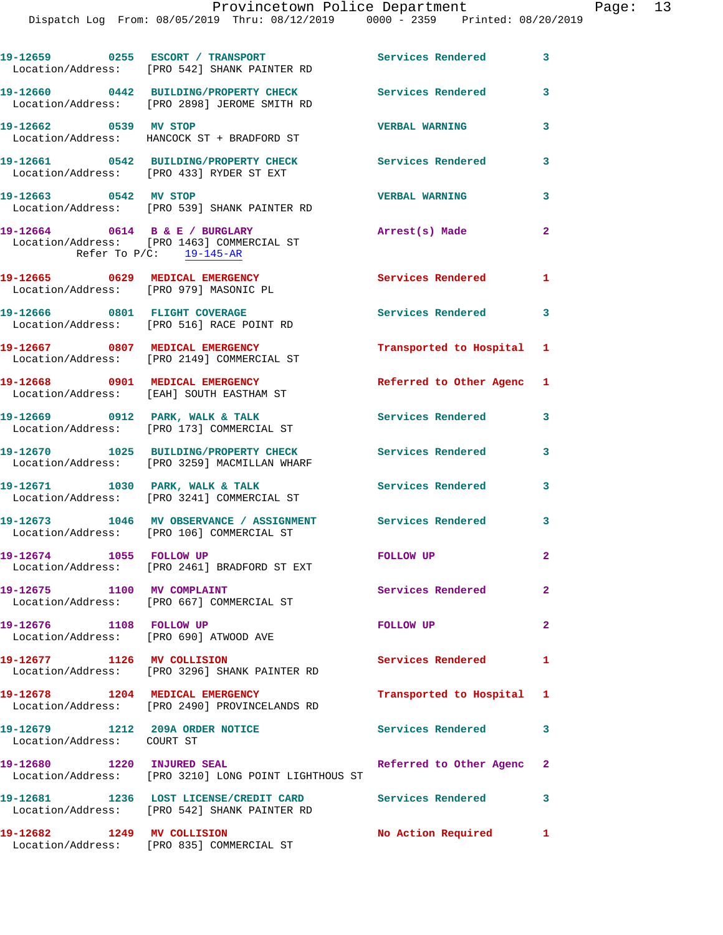|                                                                   | 19-12659 0255 ESCORT / TRANSPORT                                                                           | Services Rendered         | 3            |
|-------------------------------------------------------------------|------------------------------------------------------------------------------------------------------------|---------------------------|--------------|
|                                                                   | Location/Address: [PRO 542] SHANK PAINTER RD                                                               |                           |              |
|                                                                   | 19-12660 0442 BUILDING/PROPERTY CHECK Services Rendered<br>Location/Address: [PRO 2898] JEROME SMITH RD    |                           | 3            |
| 19-12662 0539 MV STOP                                             | Location/Address: HANCOCK ST + BRADFORD ST                                                                 | <b>VERBAL WARNING</b>     | 3            |
|                                                                   | 19-12661 0542 BUILDING/PROPERTY CHECK<br>Location/Address: [PRO 433] RYDER ST EXT                          | Services Rendered         | 3            |
| 19-12663 0542 MV STOP                                             | Location/Address: [PRO 539] SHANK PAINTER RD                                                               | <b>VERBAL WARNING</b>     | 3            |
|                                                                   | 19-12664 0614 B & E / BURGLARY<br>Location/Address: [PRO 1463] COMMERCIAL ST<br>Refer To $P/C$ : 19-145-AR | Arrest(s) Made            | $\mathbf{2}$ |
| Location/Address: [PRO 979] MASONIC PL                            | 19-12665 0629 MEDICAL EMERGENCY                                                                            | <b>Services Rendered</b>  | $\mathbf{1}$ |
|                                                                   | 19-12666 0801 FLIGHT COVERAGE<br>Location/Address: [PRO 516] RACE POINT RD                                 | Services Rendered 3       |              |
|                                                                   | 19-12667 0807 MEDICAL EMERGENCY<br>Location/Address: [PRO 2149] COMMERCIAL ST                              | Transported to Hospital 1 |              |
|                                                                   | 19-12668 0901 MEDICAL EMERGENCY<br>Location/Address: [EAH] SOUTH EASTHAM ST                                | Referred to Other Agenc 1 |              |
|                                                                   | 19-12669 0912 PARK, WALK & TALK<br>Location/Address: [PRO 173] COMMERCIAL ST                               | <b>Services Rendered</b>  | 3            |
|                                                                   | 19-12670 1025 BUILDING/PROPERTY CHECK Services Rendered<br>Location/Address: [PRO 3259] MACMILLAN WHARF    |                           | $\mathbf{3}$ |
|                                                                   | 19-12671 1030 PARK, WALK & TALK<br>Location/Address: [PRO 3241] COMMERCIAL ST                              | <b>Services Rendered</b>  | 3            |
|                                                                   | 19-12673 1046 MV OBSERVANCE / ASSIGNMENT Services Rendered 3<br>Location/Address: [PRO 106] COMMERCIAL ST  |                           |              |
| 19-12674 1055 FOLLOW UP                                           | Location/Address: [PRO 2461] BRADFORD ST EXT                                                               | FOLLOW UP                 | $\mathbf{2}$ |
| 19-12675 1100 MV COMPLAINT                                        | Location/Address: [PRO 667] COMMERCIAL ST                                                                  | Services Rendered         | $\mathbf{2}$ |
| 19-12676 1108 FOLLOW UP<br>Location/Address: [PRO 690] ATWOOD AVE |                                                                                                            | <b>FOLLOW UP</b>          | $\mathbf{2}$ |
| 19-12677 1126 MV COLLISION                                        | Location/Address: [PRO 3296] SHANK PAINTER RD                                                              | Services Rendered         | $\mathbf{1}$ |
|                                                                   | 19-12678 1204 MEDICAL EMERGENCY<br>Location/Address: [PRO 2490] PROVINCELANDS RD                           | Transported to Hospital 1 |              |
| 19-12679 1212 209A ORDER NOTICE<br>Location/Address: COURT ST     |                                                                                                            | Services Rendered         | 3            |
| 19-12680 1220 INJURED SEAL                                        | Location/Address: [PRO 3210] LONG POINT LIGHTHOUS ST                                                       | Referred to Other Agenc   | $\mathbf{2}$ |
|                                                                   | 19-12681 1236 LOST LICENSE/CREDIT CARD Services Rendered<br>Location/Address: [PRO 542] SHANK PAINTER RD   |                           | 3            |
| 19-12682 1249 MV COLLISION                                        | Location/Address: [PRO 835] COMMERCIAL ST                                                                  | No Action Required        | $\mathbf{1}$ |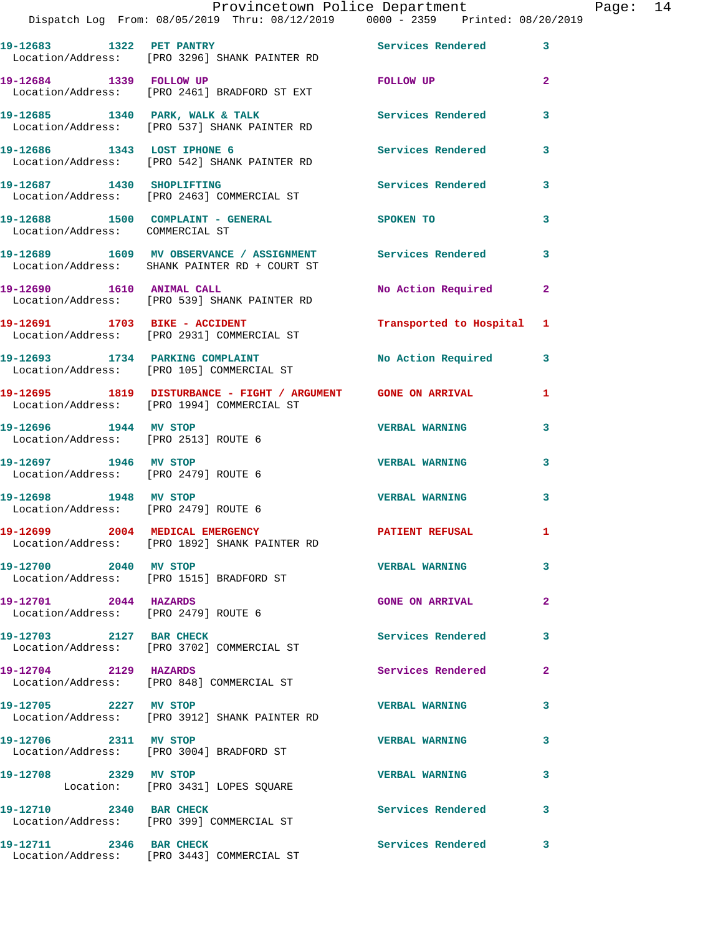|                                                               | Provincetown Police Department<br>Dispatch Log From: 08/05/2019 Thru: 08/12/2019 0000 - 2359 Printed: 08/20/2019 |                           |              | Page: 14 |  |
|---------------------------------------------------------------|------------------------------------------------------------------------------------------------------------------|---------------------------|--------------|----------|--|
|                                                               | 19-12683 1322 PET PANTRY Services Rendered 3<br>Location/Address: [PRO 3296] SHANK PAINTER RD                    |                           |              |          |  |
|                                                               | 19-12684 1339 FOLLOW UP<br>Location/Address: [PRO 2461] BRADFORD ST EXT                                          | FOLLOW UP                 | $\mathbf{2}$ |          |  |
|                                                               |                                                                                                                  | Services Rendered 3       |              |          |  |
|                                                               | 19-12686 1343 LOST IPHONE 6<br>Location/Address: [PRO 542] SHANK PAINTER RD                                      | <b>Services Rendered</b>  | 3            |          |  |
|                                                               | 19-12687 1430 SHOPLIFTING<br>Location/Address: [PRO 2463] COMMERCIAL ST                                          | Services Rendered 3       |              |          |  |
| Location/Address: COMMERCIAL ST                               | 19-12688 1500 COMPLAINT - GENERAL SPOKEN TO                                                                      |                           | 3            |          |  |
|                                                               | 19-12689 1609 MV OBSERVANCE / ASSIGNMENT Services Rendered 3<br>Location/Address: SHANK PAINTER RD + COURT ST    |                           |              |          |  |
|                                                               | 19-12690 1610 ANIMAL CALL<br>Location/Address: [PRO 539] SHANK PAINTER RD                                        | No Action Required 2      |              |          |  |
|                                                               | 19-12691 1703 BIKE - ACCIDENT<br>Location/Address: [PRO 2931] COMMERCIAL ST                                      | Transported to Hospital 1 |              |          |  |
|                                                               | 19-12693 1734 PARKING COMPLAINT<br>Location/Address: [PRO 105] COMMERCIAL ST                                     | No Action Required 3      |              |          |  |
|                                                               | 19-12695 1819 DISTURBANCE - FIGHT / ARGUMENT GONE ON ARRIVAL<br>Location/Address: [PRO 1994] COMMERCIAL ST       |                           | 1            |          |  |
| Location/Address: [PRO 2513] ROUTE 6                          | 19-12696 1944 MV STOP                                                                                            | <b>VERBAL WARNING</b>     | 3            |          |  |
| 19-12697 1946 MV STOP<br>Location/Address: [PRO 2479] ROUTE 6 |                                                                                                                  | <b>VERBAL WARNING</b>     | 3            |          |  |
| 19-12698 1948 MV STOP<br>Location/Address: [PRO 2479] ROUTE 6 |                                                                                                                  | <b>VERBAL WARNING</b>     | 3            |          |  |
|                                                               | 19-12699 2004 MEDICAL EMERGENCY<br>Location/Address: [PRO 1892] SHANK PAINTER RD                                 | <b>PATIENT REFUSAL</b>    | 1            |          |  |
| 19-12700 2040 MV STOP                                         | Location/Address: [PRO 1515] BRADFORD ST                                                                         | <b>VERBAL WARNING</b>     | 3            |          |  |
| 19-12701 2044 HAZARDS<br>Location/Address: [PRO 2479] ROUTE 6 |                                                                                                                  | <b>GONE ON ARRIVAL</b>    | $\mathbf{2}$ |          |  |
| 19-12703 2127 BAR CHECK                                       | Location/Address: [PRO 3702] COMMERCIAL ST                                                                       | <b>Services Rendered</b>  | 3            |          |  |
| 19-12704 2129 HAZARDS                                         | Location/Address: [PRO 848] COMMERCIAL ST                                                                        | <b>Services Rendered</b>  | $\mathbf{2}$ |          |  |

**19-12705 2227 MV STOP VERBAL WARNING 3** 

**19-12706 2311 MV STOP VERBAL WARNING 3** 

**19-12711 2346 BAR CHECK Services Rendered 3**  Location/Address: [PRO 3443] COMMERCIAL ST

Location/Address: [PRO 3912] SHANK PAINTER RD

Location/Address: [PRO 3004] BRADFORD ST

**19-12708 2329 MV STOP VERBAL WARNING 3**  Location: [PRO 3431] LOPES SQUARE

19-12710 2340 BAR CHECK Services Rendered 3 Location/Address: [PRO 399] COMMERCIAL ST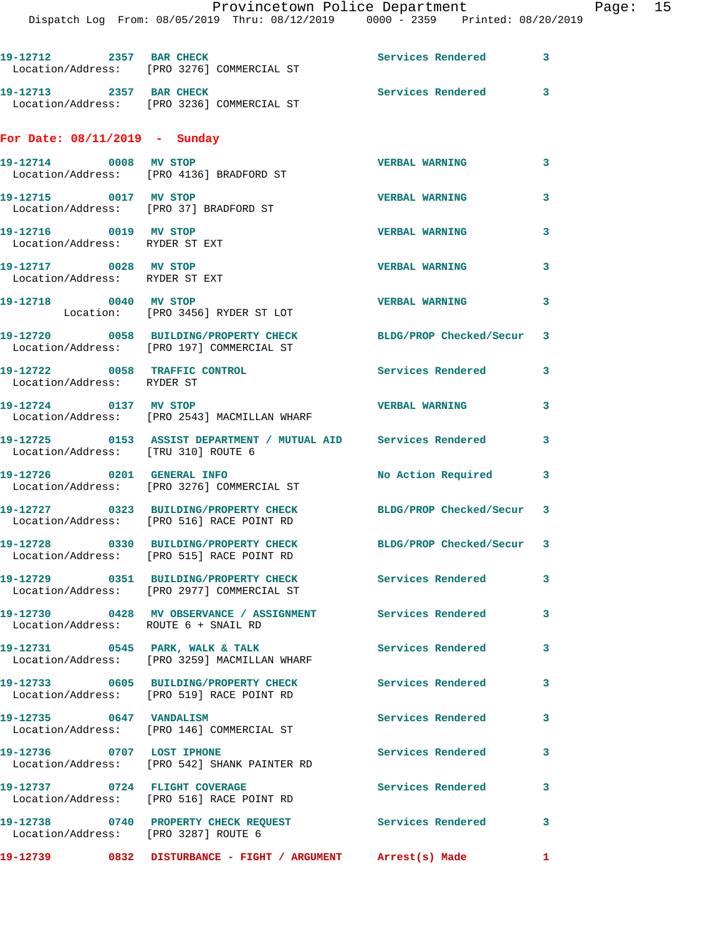| 19-12712 2357 BAR CHECK                                 | Location/Address: [PRO 3276] COMMERCIAL ST                                         | Services Rendered 3       |              |
|---------------------------------------------------------|------------------------------------------------------------------------------------|---------------------------|--------------|
| 19-12713 2357 BAR CHECK                                 | Location/Address: [PRO 3236] COMMERCIAL ST                                         | Services Rendered 3       |              |
| For Date: $08/11/2019$ - Sunday                         |                                                                                    |                           |              |
| 19-12714 0008 MV STOP                                   | Location/Address: [PRO 4136] BRADFORD ST                                           | <b>VERBAL WARNING</b>     | 3            |
| 19-12715 0017 MV STOP                                   | Location/Address: [PRO 37] BRADFORD ST                                             | <b>VERBAL WARNING</b>     | 3            |
| 19-12716 0019 MV STOP<br>Location/Address: RYDER ST EXT |                                                                                    | <b>VERBAL WARNING</b>     | 3            |
| 19-12717 0028 MV STOP<br>Location/Address: RYDER ST EXT |                                                                                    | <b>VERBAL WARNING</b>     | 3            |
| 19-12718 0040 MV STOP                                   | Location: [PRO 3456] RYDER ST LOT                                                  | <b>VERBAL WARNING</b>     | 3            |
|                                                         | 19-12720 0058 BUILDING/PROPERTY CHECK<br>Location/Address: [PRO 197] COMMERCIAL ST | BLDG/PROP Checked/Secur 3 |              |
| Location/Address: RYDER ST                              | 19-12722 0058 TRAFFIC CONTROL                                                      | Services Rendered 3       |              |
| 19-12724 0137 MV STOP                                   | Location/Address: [PRO 2543] MACMILLAN WHARF                                       | <b>VERBAL WARNING</b>     | 3            |
| Location/Address: [TRU 310] ROUTE 6                     | 19-12725 0153 ASSIST DEPARTMENT / MUTUAL AID Services Rendered 3                   |                           |              |
|                                                         | 19-12726 0201 GENERAL INFO<br>Location/Address: [PRO 3276] COMMERCIAL ST           | No Action Required        | 3            |
|                                                         | 19-12727 0323 BUILDING/PROPERTY CHECK<br>Location/Address: [PRO 516] RACE POINT RD | BLDG/PROP Checked/Secur 3 |              |
|                                                         | 19-12728 0330 BUILDING/PROPERTY CHECK<br>Location/Address: [PRO 515] RACE POINT RD | BLDG/PROP Checked/Secur 3 |              |
|                                                         |                                                                                    | <b>Services Rendered</b>  | 3            |
| Location/Address: ROUTE 6 + SNAIL RD                    | 19-12730 0428 MV OBSERVANCE / ASSIGNMENT Services Rendered                         |                           | $\mathbf{3}$ |
|                                                         | 19-12731 0545 PARK, WALK & TALK<br>Location/Address: [PRO 3259] MACMILLAN WHARF    | <b>Services Rendered</b>  | 3            |
|                                                         | 19-12733 0605 BUILDING/PROPERTY CHECK<br>Location/Address: [PRO 519] RACE POINT RD | <b>Services Rendered</b>  | 3            |
| 19-12735 0647 VANDALISM                                 | Location/Address: [PRO 146] COMMERCIAL ST                                          | <b>Services Rendered</b>  | 3            |
|                                                         | 19-12736 0707 LOST IPHONE<br>Location/Address: [PRO 542] SHANK PAINTER RD          | <b>Services Rendered</b>  | 3            |
| 19-12737 0724 FLIGHT COVERAGE                           | Location/Address: [PRO 516] RACE POINT RD                                          | Services Rendered         | $\mathbf{3}$ |
| Location/Address: [PRO 3287] ROUTE 6                    | 19-12738 0740 PROPERTY CHECK REQUEST Services Rendered                             |                           | 3            |
|                                                         | 19-12739 6832 DISTURBANCE - FIGHT / ARGUMENT Arrest(s) Made                        |                           | $\mathbf{1}$ |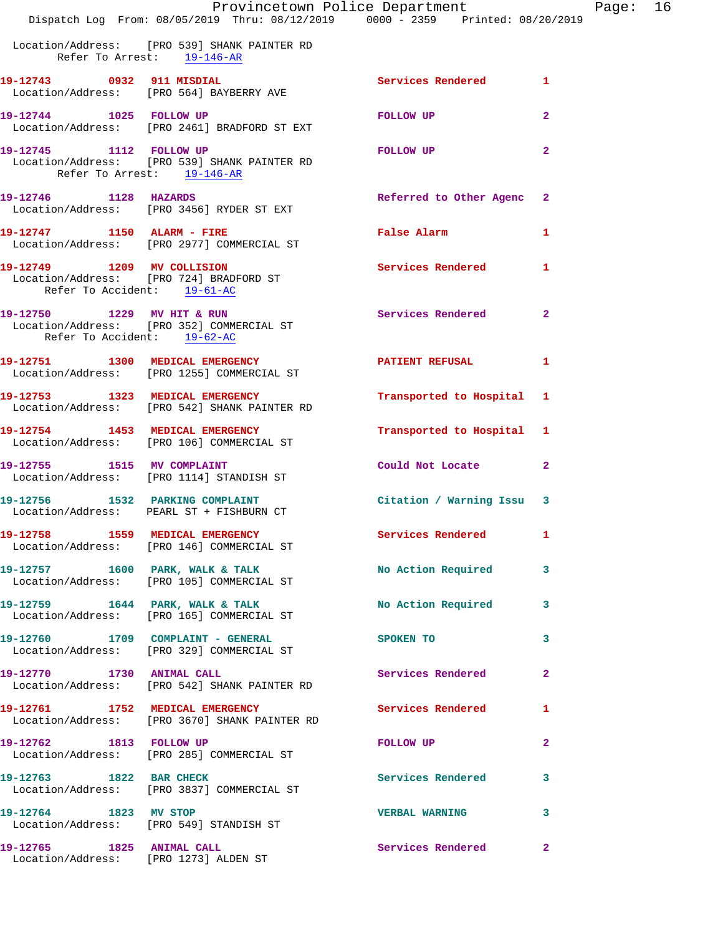|                                                                    | Provincetown Police Department<br>Dispatch Log From: 08/05/2019 Thru: 08/12/2019 0000 - 2359 Printed: 08/20/2019 |                          |                |
|--------------------------------------------------------------------|------------------------------------------------------------------------------------------------------------------|--------------------------|----------------|
|                                                                    | Location/Address: [PRO 539] SHANK PAINTER RD<br>Refer To Arrest: 19-146-AR                                       |                          |                |
| 19-12743 0932 911 MISDIAL                                          | Location/Address: [PRO 564] BAYBERRY AVE                                                                         | Services Rendered        | 1              |
| 19-12744 1025 FOLLOW UP                                            | Location/Address: [PRO 2461] BRADFORD ST EXT                                                                     | <b>FOLLOW UP</b>         | $\mathbf{2}$   |
| 19-12745 1112 FOLLOW UP<br>Refer To Arrest: 19-146-AR              | Location/Address: [PRO 539] SHANK PAINTER RD                                                                     | FOLLOW UP                | $\mathbf{2}$   |
| 19-12746 1128 HAZARDS                                              | Location/Address: [PRO 3456] RYDER ST EXT                                                                        | Referred to Other Agenc  | $\mathbf{2}$   |
|                                                                    | 19-12747 1150 ALARM - FIRE<br>Location/Address: [PRO 2977] COMMERCIAL ST                                         | False Alarm              | 1              |
| 19-12749 1209 MV COLLISION<br>Refer To Accident: 19-61-AC          | Location/Address: [PRO 724] BRADFORD ST                                                                          | <b>Services Rendered</b> | 1              |
| 19-12750 1229 MV HIT & RUN<br>Refer To Accident: 19-62-AC          | Location/Address: [PRO 352] COMMERCIAL ST                                                                        | <b>Services Rendered</b> | $\mathbf{2}$   |
|                                                                    | 19-12751 1300 MEDICAL EMERGENCY<br>Location/Address: [PRO 1255] COMMERCIAL ST                                    | PATIENT REFUSAL          | 1              |
|                                                                    | 19-12753 1323 MEDICAL EMERGENCY<br>Location/Address: [PRO 542] SHANK PAINTER RD                                  | Transported to Hospital  | 1              |
|                                                                    | 19-12754 1453 MEDICAL EMERGENCY<br>Location/Address: [PRO 106] COMMERCIAL ST                                     | Transported to Hospital  | 1              |
|                                                                    | 19-12755 1515 MV COMPLAINT<br>Location/Address: [PRO 1114] STANDISH ST                                           | Could Not Locate         | $\overline{a}$ |
|                                                                    | 19-12756 1532 PARKING COMPLAINT<br>Location/Address: PEARL ST + FISHBURN CT                                      | Citation / Warning Issu  | 3              |
|                                                                    | 19-12758 1559 MEDICAL EMERGENCY<br>Location/Address: [PRO 146] COMMERCIAL ST                                     | Services Rendered        | 1              |
|                                                                    | 19-12757 1600 PARK, WALK & TALK<br>Location/Address: [PRO 105] COMMERCIAL ST                                     | No Action Required       | 3              |
|                                                                    | 19-12759 1644 PARK, WALK & TALK<br>Location/Address: [PRO 165] COMMERCIAL ST                                     | No Action Required       | 3              |
|                                                                    | 19-12760 1709 COMPLAINT - GENERAL<br>Location/Address: [PRO 329] COMMERCIAL ST                                   | SPOKEN TO                | 3              |
| 19-12770 1730 ANIMAL CALL                                          | Location/Address: [PRO 542] SHANK PAINTER RD                                                                     | Services Rendered        | $\mathbf{2}$   |
| 19-12761 1752 MEDICAL EMERGENCY                                    | Location/Address: [PRO 3670] SHANK PAINTER RD                                                                    | Services Rendered        | 1              |
| 19-12762 1813 FOLLOW UP                                            | Location/Address: [PRO 285] COMMERCIAL ST                                                                        | <b>FOLLOW UP</b>         | 2              |
| 19-12763 1822 BAR CHECK                                            | Location/Address: [PRO 3837] COMMERCIAL ST                                                                       | Services Rendered        | 3              |
| 19-12764 1823 MV STOP                                              | Location/Address: [PRO 549] STANDISH ST                                                                          | <b>VERBAL WARNING</b>    | 3              |
| 19-12765 1825 ANIMAL CALL<br>Location/Address: [PRO 1273] ALDEN ST |                                                                                                                  | Services Rendered        | 2              |

Page: 16<br>019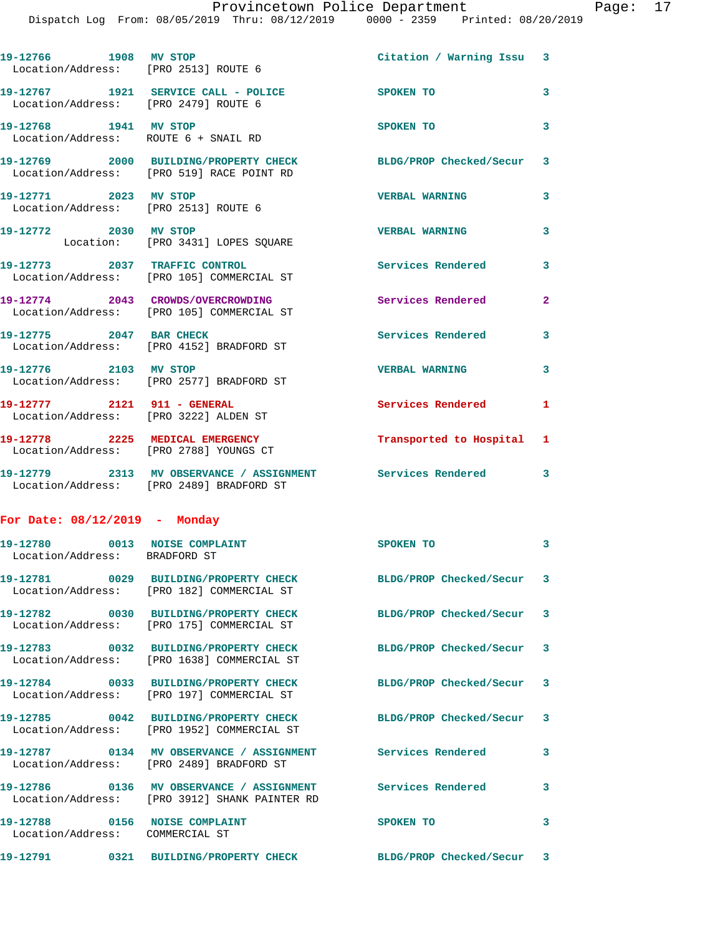| 19-12766 1908 MV STOP                                                | Location/Address: [PRO 2513] ROUTE 6                                                                                    | Citation / Warning Issu 3 |              |
|----------------------------------------------------------------------|-------------------------------------------------------------------------------------------------------------------------|---------------------------|--------------|
| Location/Address: [PRO 2479] ROUTE 6                                 | 19-12767 1921 SERVICE CALL - POLICE                                                                                     | SPOKEN TO                 | 3            |
| 19-12768 1941 MV STOP<br>Location/Address: ROUTE 6 + SNAIL RD        |                                                                                                                         | SPOKEN TO                 | 3            |
|                                                                      | 19-12769 2000 BUILDING/PROPERTY CHECK<br>Location/Address: [PRO 519] RACE POINT RD                                      | BLDG/PROP Checked/Secur 3 |              |
| 19-12771 2023 MV STOP                                                | Location/Address: [PRO 2513] ROUTE 6                                                                                    | <b>VERBAL WARNING</b>     | 3            |
| 19-12772 2030 MV STOP                                                | Location: [PRO 3431] LOPES SQUARE                                                                                       | <b>VERBAL WARNING</b>     | 3            |
|                                                                      | 19-12773 2037 TRAFFIC CONTROL<br>Location/Address: [PRO 105] COMMERCIAL ST                                              | <b>Services Rendered</b>  | 3            |
|                                                                      | 19-12774 2043 CROWDS/OVERCROWDING<br>Location/Address: [PRO 105] COMMERCIAL ST                                          | <b>Services Rendered</b>  | $\mathbf{2}$ |
| 19-12775 2047 BAR CHECK                                              | Location/Address: [PRO 4152] BRADFORD ST                                                                                | <b>Services Rendered</b>  | 3            |
| 19-12776 2103 MV STOP                                                | Location/Address: [PRO 2577] BRADFORD ST                                                                                | <b>VERBAL WARNING</b>     | 3            |
| 19-12777 2121 911 - GENERAL<br>Location/Address: [PRO 3222] ALDEN ST |                                                                                                                         | Services Rendered         | 1            |
| Location/Address: [PRO 2788] YOUNGS CT                               | 19-12778 2225 MEDICAL EMERGENCY                                                                                         | Transported to Hospital 1 |              |
|                                                                      | 19-12779 2313 MV OBSERVANCE / ASSIGNMENT Services Rendered 3<br>Location/Address: [PRO 2489] BRADFORD ST                |                           |              |
| For Date: $08/12/2019$ - Monday                                      |                                                                                                                         |                           |              |
| 19-12780 0013 NOISE COMPLAINT<br>Location/Address: BRADFORD ST       |                                                                                                                         | SPOKEN TO                 | 3            |
|                                                                      | Location/Address: [PRO 182] COMMERCIAL ST                                                                               | BLDG/PROP Checked/Secur 3 |              |
|                                                                      | 19-12782 0030 BUILDING/PROPERTY CHECK<br>Location/Address: [PRO 175] COMMERCIAL ST                                      | BLDG/PROP Checked/Secur 3 |              |
|                                                                      | 19-12783 0032 BUILDING/PROPERTY CHECK<br>Location/Address: [PRO 1638] COMMERCIAL ST                                     | BLDG/PROP Checked/Secur 3 |              |
|                                                                      | 19-12784 0033 BUILDING/PROPERTY CHECK<br>Location/Address: [PRO 197] COMMERCIAL ST                                      | BLDG/PROP Checked/Secur 3 |              |
|                                                                      | 19-12785 0042 BUILDING/PROPERTY CHECK<br>Location/Address: [PRO 1952] COMMERCIAL ST                                     | BLDG/PROP Checked/Secur 3 |              |
|                                                                      | 19-12787 0134 MV OBSERVANCE / ASSIGNMENT Services Rendered<br>Location/Address: [PRO 2489] BRADFORD ST                  |                           | 3            |
|                                                                      | 19-12786      0136   MV OBSERVANCE / ASSIGNMENT      Services Rendered<br>Location/Address: [PRO 3912] SHANK PAINTER RD |                           | 3            |
| 19-12788 0156 NOISE COMPLAINT<br>Location/Address: COMMERCIAL ST     |                                                                                                                         | SPOKEN TO                 | 3            |

**19-12791 0321 BUILDING/PROPERTY CHECK BLDG/PROP Checked/Secur 3**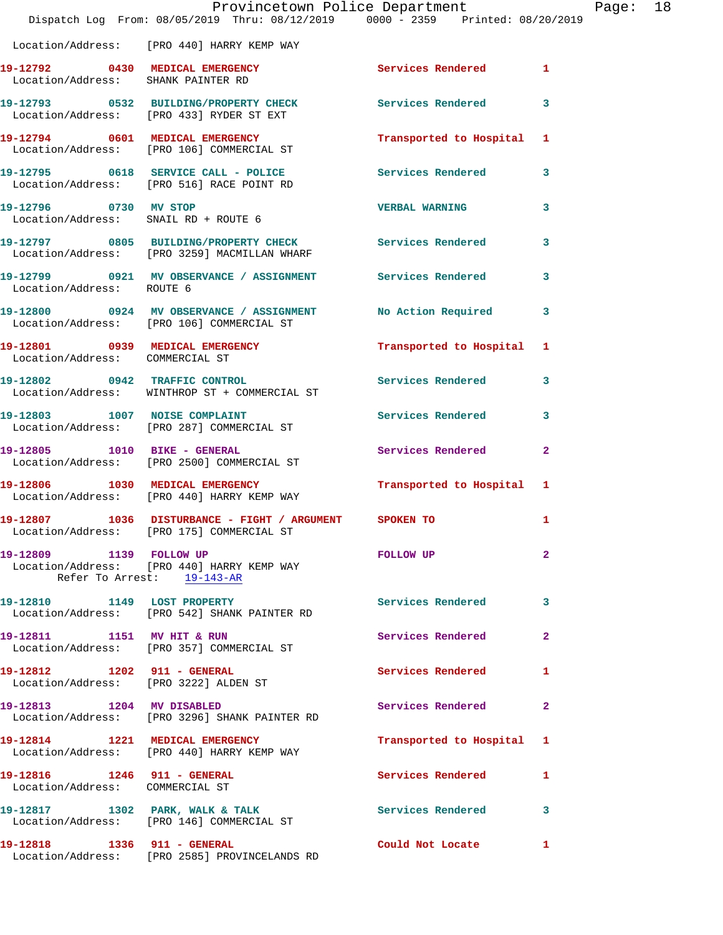|                                                                      | Provincetown Police Department<br>Dispatch Log From: 08/05/2019 Thru: 08/12/2019 0000 - 2359 Printed: 08/20/2019        |                           | Page: 18     |  |
|----------------------------------------------------------------------|-------------------------------------------------------------------------------------------------------------------------|---------------------------|--------------|--|
|                                                                      | Location/Address: [PRO 440] HARRY KEMP WAY                                                                              |                           |              |  |
| Location/Address: SHANK PAINTER RD                                   | 19-12792 0430 MEDICAL EMERGENCY                                                                                         | Services Rendered 1       |              |  |
|                                                                      | 19-12793 0532 BUILDING/PROPERTY CHECK Services Rendered 3<br>Location/Address: [PRO 433] RYDER ST EXT                   |                           |              |  |
|                                                                      | 19-12794 0601 MEDICAL EMERGENCY<br>Location/Address: [PRO 106] COMMERCIAL ST                                            | Transported to Hospital 1 |              |  |
|                                                                      | 19-12795 0618 SERVICE CALL - POLICE 3 Services Rendered 3<br>Location/Address: [PRO 516] RACE POINT RD                  |                           |              |  |
|                                                                      | 19-12796 0730 MV STOP<br>Location/Address: SNAIL RD + ROUTE 6                                                           | <b>VERBAL WARNING</b>     | 3            |  |
|                                                                      | 19-12797 0805 BUILDING/PROPERTY CHECK Services Rendered<br>Location/Address: [PRO 3259] MACMILLAN WHARF                 |                           | 3            |  |
| Location/Address: ROUTE 6                                            | 19-12799 0921 MV OBSERVANCE / ASSIGNMENT Services Rendered                                                              |                           | $\mathbf{3}$ |  |
|                                                                      | 19-12800 0924 MV OBSERVANCE / ASSIGNMENT No Action Required<br>Location/Address: [PRO 106] COMMERCIAL ST                |                           | 3            |  |
| Location/Address: COMMERCIAL ST                                      | 19-12801 0939 MEDICAL EMERGENCY                                                                                         | Transported to Hospital 1 |              |  |
|                                                                      | 19-12802 0942 TRAFFIC CONTROL<br>Location/Address: WINTHROP ST + COMMERCIAL ST                                          | <b>Services Rendered</b>  | 3            |  |
|                                                                      | 19-12803 1007 NOISE COMPLAINT<br>Location/Address: [PRO 287] COMMERCIAL ST                                              | Services Rendered 3       |              |  |
|                                                                      | 19-12805 1010 BIKE - GENERAL<br>Location/Address: [PRO 2500] COMMERCIAL ST                                              | Services Rendered         | $\mathbf{2}$ |  |
|                                                                      | 19-12806 1030 MEDICAL EMERGENCY 1 Transported to Hospital 1<br>Location/Address: [PRO 440] HARRY KEMP WAY               |                           |              |  |
|                                                                      | 19-12807           1036 DISTURBANCE - FIGHT / ARGUMENT           SPOKEN TO<br>Location/Address: [PRO 175] COMMERCIAL ST |                           |              |  |
| 19-12809 1139 FOLLOW UP                                              | Location/Address: [PRO 440] HARRY KEMP WAY<br>Refer To Arrest: 19-143-AR                                                | FOLLOW UP                 | 2            |  |
|                                                                      | 19-12810 1149 LOST PROPERTY<br>Location/Address: [PRO 542] SHANK PAINTER RD                                             | <b>Services Rendered</b>  | 3            |  |
|                                                                      | 19-12811 1151 MV HIT & RUN<br>Location/Address: [PRO 357] COMMERCIAL ST                                                 | <b>Services Rendered</b>  | $\mathbf{2}$ |  |
|                                                                      | Location/Address: [PRO 3222] ALDEN ST                                                                                   | Services Rendered         | 1            |  |
| 19-12813 1204 MV DISABLED                                            | Location/Address: [PRO 3296] SHANK PAINTER RD                                                                           | Services Rendered         | $\mathbf{2}$ |  |
|                                                                      | 19-12814 1221 MEDICAL EMERGENCY<br>Location/Address: [PRO 440] HARRY KEMP WAY                                           | Transported to Hospital 1 |              |  |
| 19-12816    1246    911 - GENERAL<br>Location/Address: COMMERCIAL ST |                                                                                                                         | Services Rendered         | 1            |  |
|                                                                      | 19-12817 1302 PARK, WALK & TALK<br>Location/Address: [PRO 146] COMMERCIAL ST                                            | Services Rendered         | 3            |  |
| 19-12818    1336    911 - GENERAL                                    | Location/Address: [PRO 2585] PROVINCELANDS RD                                                                           | Could Not Locate          | $\mathbf{1}$ |  |